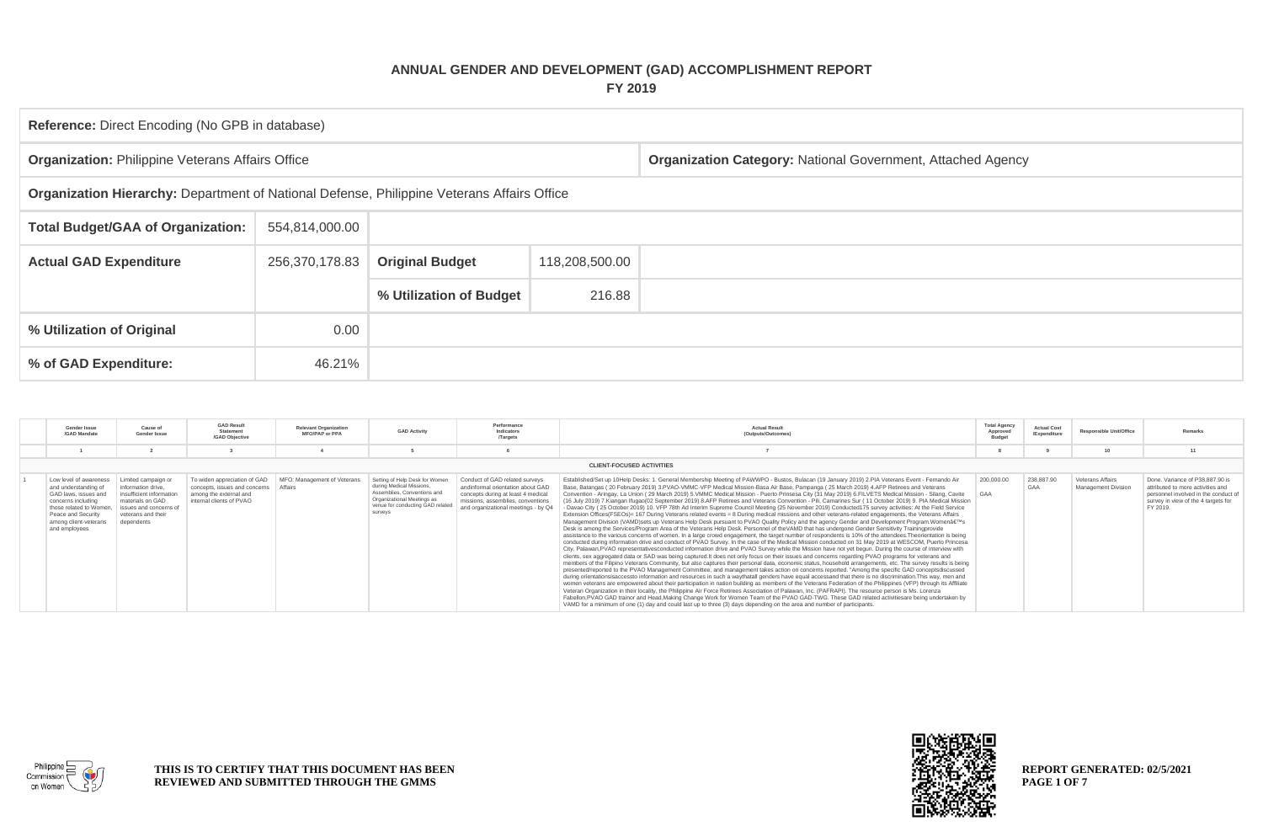## **ANNUAL GENDER AND DEVELOPMENT (GAD) ACCOMPLISHMENT REPORT FY 2019**

| Reference: Direct Encoding (No GPB in database)                                            |                |                                          |        |                                                                    |  |  |  |  |  |
|--------------------------------------------------------------------------------------------|----------------|------------------------------------------|--------|--------------------------------------------------------------------|--|--|--|--|--|
| <b>Organization: Philippine Veterans Affairs Office</b>                                    |                |                                          |        | <b>Organization Category: National Government, Attached Agency</b> |  |  |  |  |  |
| Organization Hierarchy: Department of National Defense, Philippine Veterans Affairs Office |                |                                          |        |                                                                    |  |  |  |  |  |
| <b>Total Budget/GAA of Organization:</b>                                                   | 554,814,000.00 |                                          |        |                                                                    |  |  |  |  |  |
| <b>Actual GAD Expenditure</b>                                                              | 256,370,178.83 | <b>Original Budget</b><br>118,208,500.00 |        |                                                                    |  |  |  |  |  |
|                                                                                            |                | % Utilization of Budget                  | 216.88 |                                                                    |  |  |  |  |  |
| % Utilization of Original                                                                  | 0.00           |                                          |        |                                                                    |  |  |  |  |  |
| % of GAD Expenditure:                                                                      | 46.21%         |                                          |        |                                                                    |  |  |  |  |  |

| Gender Issue<br>/GAD Mandate                                                                                                                                                            | Cause of<br>Gender Issue                                                                                                                                | <b>GAD Result</b><br>Statement<br>/GAD Objective                                                                    | <b>Relevant Organization</b><br><b>MFO/PAP or PPA</b> | <b>GAD Activity</b>                                                                                                                                                   | Performance<br>Indicators<br>Targets                                                                                                                                                  | <b>Actual Result</b><br>(Outputs/Outcomes)                                                                                                                                                                                                                                                                                                                                                                                                                                                                                                                                                                                                                                                                                                                                                                                                                                                                                                                                                                                                                                                                                                                                                                                                                                                                                                                                                                                                                                                                                                                                                                                                                                                                                                                                                                                                                                                                                                                                                                                                                                                                                                                                                                                                                                                                                                                                                                                                                                                                                                                                                                                                                                                                                                                                                                                                                                                                                                                                  | <b>Total Agency</b><br>Approved<br>Budget | <b>Actual Cost</b><br>/Expenditure | <b>Responsible Unit/Office</b>                 | Remarks                                                                                                                                                         |
|-----------------------------------------------------------------------------------------------------------------------------------------------------------------------------------------|---------------------------------------------------------------------------------------------------------------------------------------------------------|---------------------------------------------------------------------------------------------------------------------|-------------------------------------------------------|-----------------------------------------------------------------------------------------------------------------------------------------------------------------------|---------------------------------------------------------------------------------------------------------------------------------------------------------------------------------------|-----------------------------------------------------------------------------------------------------------------------------------------------------------------------------------------------------------------------------------------------------------------------------------------------------------------------------------------------------------------------------------------------------------------------------------------------------------------------------------------------------------------------------------------------------------------------------------------------------------------------------------------------------------------------------------------------------------------------------------------------------------------------------------------------------------------------------------------------------------------------------------------------------------------------------------------------------------------------------------------------------------------------------------------------------------------------------------------------------------------------------------------------------------------------------------------------------------------------------------------------------------------------------------------------------------------------------------------------------------------------------------------------------------------------------------------------------------------------------------------------------------------------------------------------------------------------------------------------------------------------------------------------------------------------------------------------------------------------------------------------------------------------------------------------------------------------------------------------------------------------------------------------------------------------------------------------------------------------------------------------------------------------------------------------------------------------------------------------------------------------------------------------------------------------------------------------------------------------------------------------------------------------------------------------------------------------------------------------------------------------------------------------------------------------------------------------------------------------------------------------------------------------------------------------------------------------------------------------------------------------------------------------------------------------------------------------------------------------------------------------------------------------------------------------------------------------------------------------------------------------------------------------------------------------------------------------------------------------------|-------------------------------------------|------------------------------------|------------------------------------------------|-----------------------------------------------------------------------------------------------------------------------------------------------------------------|
|                                                                                                                                                                                         |                                                                                                                                                         |                                                                                                                     |                                                       |                                                                                                                                                                       |                                                                                                                                                                                       |                                                                                                                                                                                                                                                                                                                                                                                                                                                                                                                                                                                                                                                                                                                                                                                                                                                                                                                                                                                                                                                                                                                                                                                                                                                                                                                                                                                                                                                                                                                                                                                                                                                                                                                                                                                                                                                                                                                                                                                                                                                                                                                                                                                                                                                                                                                                                                                                                                                                                                                                                                                                                                                                                                                                                                                                                                                                                                                                                                             |                                           |                                    | 10                                             |                                                                                                                                                                 |
|                                                                                                                                                                                         |                                                                                                                                                         |                                                                                                                     |                                                       |                                                                                                                                                                       |                                                                                                                                                                                       | <b>CLIENT-FOCUSED ACTIVITIES</b>                                                                                                                                                                                                                                                                                                                                                                                                                                                                                                                                                                                                                                                                                                                                                                                                                                                                                                                                                                                                                                                                                                                                                                                                                                                                                                                                                                                                                                                                                                                                                                                                                                                                                                                                                                                                                                                                                                                                                                                                                                                                                                                                                                                                                                                                                                                                                                                                                                                                                                                                                                                                                                                                                                                                                                                                                                                                                                                                            |                                           |                                    |                                                |                                                                                                                                                                 |
| Low level of awareness<br>and understanding of<br>GAD laws, issues and<br>concerns including<br>those related to Women.<br>Peace and Security<br>among client-veterans<br>and employees | Limited campaign or<br>information drive.<br>insufficient information<br>materials on GAD<br>issues and concerns of<br>veterans and their<br>dependents | To widen appreciation of GAD<br>concepts, issues and concerns<br>among the external and<br>internal clients of PVAO | MFO: Management of Veterans<br>Affairs                | Setting of Help Desk for Women<br>during Medical Missions.<br>Assemblies, Conventions and<br>Organizational Meetings as<br>venue for conducting GAD relate<br>surveys | Conduct of GAD related surveys<br>andinformal orientation about GAD<br>concepts during at least 4 medical<br>missions, assemblies, conventions<br>and organizational meetings - by Q4 | Established/Set up 10Help Desks: 1. General Membership Meeting of PAWWPO - Bustos, Bulacan (19 January 2019) 2.PIA Veterans Event - Fernando Air<br>Base, Batangas (20 February 2019) 3.PVAO-VMMC-VFP Medical Mission-Basa Air Base, Pampanga (25 March 2019) 4.AFP Retirees and Veterans<br>Convention - Aringay, La Union (29 March 2019) 5. VMMC Medical Mission - Puerto Prinsesa City (31 May 2019) 6. FILVETS Medical Mission - Silang, Cavite<br>(16 July 2019) 7.Kiangan Ifugao (02 September 2019) 8.AFP Retirees and Veterans Convention - Pili, Camarines Sur (11 October 2019) 9. PIA Medical Mission<br>- Davao City (25 October 2019) 10. VFP 78th Ad Interim Supreme Council Meeting (25 November 2019) Conducted175 survey activities: At the Field Service<br>Extension Offices (FSEOs)= 167 During Veterans related events = 8 During medical missions and other veterans-related engagements, the Veterans Affairs<br>Management Division (VAMD)sets up Veterans Help Desk pursuant to PVAO Quality Policy and the agency Gender and Development Program.Women's<br>Desk is among the Services/Program Area of the Veterans Help Desk. Personnel of theVAMD that has undergone Gender Sensitivity Trainingprovide<br>assistance to the various concerns of women. In a large crowd engagement, the target number of respondents is 10% of the attendees. Theorientation is being<br>conducted during information drive and conduct of PVAO Survey. In the case of the Medical Mission conducted on 31 May 2019 at WESCOM, Puerto Princesa<br>City, Palawan, PVAO representativesconducted information drive and PVAO Survey while the Mission have not yet begun. During the course of interview with<br>clients, sex aggregated data or SAD was being captured.It does not only focus on their issues and concerns regarding PVAO programs for veterans and<br>members of the Filipino Veterans Community, but also captures their personal data, economic status, household arrangements, etc. The survey results is being<br>presented/reported to the PVAO Management Committee, and management takes action on concerns reported. "Among the specific GAD conceptsdiscussed<br>during orientationsisaccessto information and resources in such a waythatall genders have equal accessand that there is no discrimination. This way, men and<br>women veterans are empowered about their participation in nation building as members of the Veterans Federation of the Philippines (VFP) through its Affiliate<br>Veteran Organization in their locality, the Philippine Air Force Retirees Association of Palawan, Inc. (PAFRAPI). The resource person is Ms. Lorenza<br>Fabellon, PVAO GAD trainor and Head, Making Change Work for Women Team of the PVAO GAD-TWG. These GAD related activitiesare being undertaken by<br>VAMD for a minimum of one (1) day and could last up to three (3) days depending on the area and number of participants. | 200,000,00<br>GAA                         | 238,887.90<br>GAA                  | Veterans Affairs<br><b>Management Division</b> | Done, Variance of P38,887,90 is<br>attributed to more activities and<br>personnel involved in the conduct of<br>survey in view of the 4 targets for<br>FY 2019. |



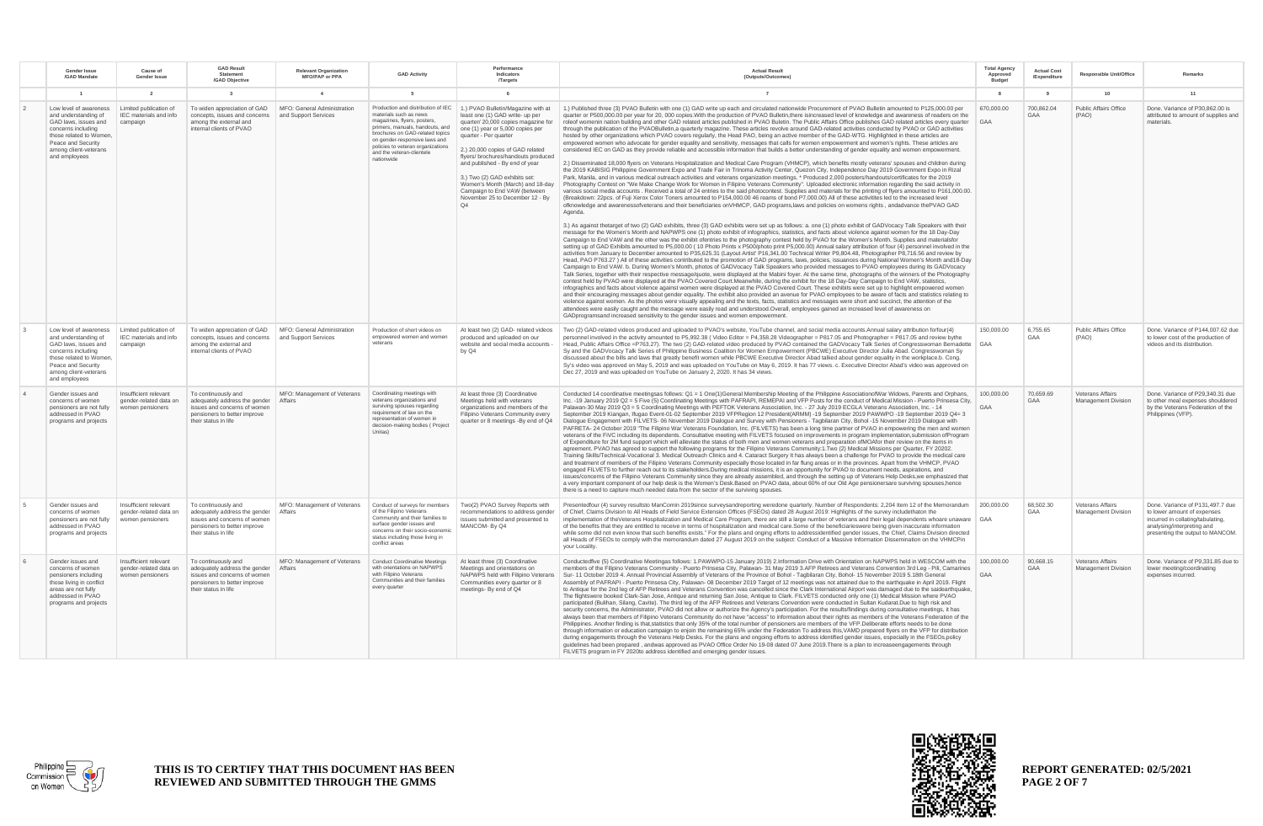|                | <b>Gender Issue</b><br>/GAD Mandate                                                                                                                                                                               | Cause of<br>Gender Issue                                            | <b>GAD Result</b><br>/GAD Objective                                                                                                                                    | <b>Relevant Organization</b><br><b>MFO/PAP</b> or PPA | <b>GAD Activity</b>                                                                                                                                                                                                                       | Performance<br>Indicators<br><b>Targets</b>                                                                                                                                                                                                                                                                                                                                                                                                                                           | <b>Actual Result</b><br>(Outputs/Outcomes)                                                                                                                                                                                                                                                                                                                                                                                                                                                                                                                                                                                                                                                                                                                                                                                                                                                                                                                                                                                                                                                                                                                                                                                                                                                                                                                                                                                                                                                                                                                                                                                                                                                                                                                                                                                                                                                                                                                                                                                                                                                                                                                                                                                                                                                             | <b>Total Agency</b><br>Approved<br><b>Budget</b> | <b>Actual Cost</b><br>/Expenditure | <b>Responsible Unit/Office</b>                 | Remarks                                                                                                                                                                |
|----------------|-------------------------------------------------------------------------------------------------------------------------------------------------------------------------------------------------------------------|---------------------------------------------------------------------|------------------------------------------------------------------------------------------------------------------------------------------------------------------------|-------------------------------------------------------|-------------------------------------------------------------------------------------------------------------------------------------------------------------------------------------------------------------------------------------------|---------------------------------------------------------------------------------------------------------------------------------------------------------------------------------------------------------------------------------------------------------------------------------------------------------------------------------------------------------------------------------------------------------------------------------------------------------------------------------------|--------------------------------------------------------------------------------------------------------------------------------------------------------------------------------------------------------------------------------------------------------------------------------------------------------------------------------------------------------------------------------------------------------------------------------------------------------------------------------------------------------------------------------------------------------------------------------------------------------------------------------------------------------------------------------------------------------------------------------------------------------------------------------------------------------------------------------------------------------------------------------------------------------------------------------------------------------------------------------------------------------------------------------------------------------------------------------------------------------------------------------------------------------------------------------------------------------------------------------------------------------------------------------------------------------------------------------------------------------------------------------------------------------------------------------------------------------------------------------------------------------------------------------------------------------------------------------------------------------------------------------------------------------------------------------------------------------------------------------------------------------------------------------------------------------------------------------------------------------------------------------------------------------------------------------------------------------------------------------------------------------------------------------------------------------------------------------------------------------------------------------------------------------------------------------------------------------------------------------------------------------------------------------------------------------|--------------------------------------------------|------------------------------------|------------------------------------------------|------------------------------------------------------------------------------------------------------------------------------------------------------------------------|
|                | $\overline{1}$                                                                                                                                                                                                    | $\overline{2}$                                                      | $\overline{3}$                                                                                                                                                         | $\overline{a}$                                        | 5                                                                                                                                                                                                                                         | 6                                                                                                                                                                                                                                                                                                                                                                                                                                                                                     | $\overline{7}$                                                                                                                                                                                                                                                                                                                                                                                                                                                                                                                                                                                                                                                                                                                                                                                                                                                                                                                                                                                                                                                                                                                                                                                                                                                                                                                                                                                                                                                                                                                                                                                                                                                                                                                                                                                                                                                                                                                                                                                                                                                                                                                                                                                                                                                                                         | $_{\rm 8}$                                       | 9                                  | 10                                             | 11                                                                                                                                                                     |
| 2              | Low level of awareness<br>and understanding of<br>GAD laws, issues and<br>concerns including<br>those related to Women,<br>Peace and Security<br>among client-veterans<br>and employees                           | Limited publication of<br>IEC materials and info<br>campaign        | To widen appreciation of GAD   MFO: General Administration<br>concepts, issues and concerns and Support Services<br>among the external and<br>internal clients of PVAO |                                                       | materials such as news<br>magazines, flyers, posters.<br>primers manuals handouts and<br>brochures on GAD-related topics<br>on gender-responsive laws and<br>policies to veteran organizations<br>and the veteran-clientele<br>nationwide | Production and distribution of IEC   1.) PVAO Bulletin/Magazine with at<br>least one (1) GAD write- up per<br>quarter/ 20,000 copies magazine for<br>one (1) year or 5,000 copies per<br>quarter - Per quarter<br>2.) 20,000 copies of GAD related<br>flyers/ brochures/handouts produced<br>and published - By end of year<br>3.) Two (2) GAD exhibits set:<br>Women's Month (March) and 18-day<br>Campaign to End VAW (between<br>November 25 to December 12 - By<br>Q <sub>4</sub> | 1.) Published three (3) PVAO Bulletin with one (1) GAD write up each and circulated nationwide Procurement of PVAO Bulletin amounted to P125,000.00 per<br>quarter or P500,000.00 per year for 20, 000 copies. With the production of PVAO Bulletin, there isincreased level of knowledge and awareness of readers on the<br>roleof womenin nation building and other GAD related articles published in PVAO Buletin. The Public Affairs Office publishes GAD related articles every quarter<br>through the publication of the PVAOBulletin a quarterly magazine. These articles revolve around GAD-related activities conducted by PVAO or GAD activities<br>hosted by other organizations which PVAO covers regularly, the Head PAO, being an active member of the GAD-WTG. Highlighted in these articles are<br>empowered women who advocate for gender equality and sensitivity, messages that calls for women empowerment and women's rights. These articles are<br>considered IEC on GAD as they provide reliable and accessible information that builds a better understanding of gender equality and women empowerment.<br>2.) Disseminated 18,000 flyers on Veterans Hospitalization and Medical Care Program (VHMCP), which benefits mostly veterans' spouses and children during<br>the 2019 KABISIG Philippine Government Expo and Trade Fair in Trinoma Activity Center, Quezon City, Independence Day 2019 Government Expo in Rizal<br>Park, Manila, and in various medical outreach activities and veterans organization meetings. * Produced 2,000 posters/handouts/certificates for the 2019<br>Photography Contest on "We Make Change Work for Women in Filipino Veterans Community". Uploaded electronic information regarding the said activity in<br>various social media accounts. Received a total of 24 entries to the said photocontest. Supplies and materials for the printing of flyers amounted to P161,000.00.<br>(Breakdown: 22pcs. of Fuji Xerox Color Toners amounted to P154,000.00 46 reams of bond P7,000.00) All of these activitites led to the increased level<br>ofknowledge and awarenessofveterans and their beneficiaries onVHMCP, GAD programs,laws and policies on womens rights , andadvance thePVAO GAD<br>Agenda                                       | 670,000.00<br>GAA                                | 700,862.04<br>GAA                  | Public Affairs Office<br>(PAO)                 | Done. Variance of P30,862.00 is<br>attributed to amount of supplies and<br>materials.                                                                                  |
|                |                                                                                                                                                                                                                   |                                                                     |                                                                                                                                                                        |                                                       |                                                                                                                                                                                                                                           |                                                                                                                                                                                                                                                                                                                                                                                                                                                                                       | 3.) As against thetarget of two (2) GAD exhibits, three (3) GAD exhibits were set up as follows: a. one (1) photo exhibit of GADVocacy Talk Speakers with their<br>message for the Women's Month and NAPWPS one (1) photo exhibit of infographics, statistics, and facts about violence against women for the 18 Day-Day<br>Campaign to End VAW and the other was the exhibit ofentries to the photography contest held by PVAO for the Women's Month. Supplies and materialsfor<br>setting up of GAD Exhibits amounted to P5,000,00 (10 Photo Prints x P500/photo print P5,000,00) Annual salary attribution of four (4) personnel involved in the<br>activities from January to December amounted to P35,625.31 (Layout Artist' P16,341.00 Technical Writer P9,804.48, Photographer P8,716.56 and review by<br>Head, PAO P763.27) All of these activities contributed to the promotion of GAD programs, laws, policies, issuances during National Women's Month and 18-Day<br>Campaign to End VAW. b. During Women's Month, photos of GADVocacy Talk Speakers who provided messages to PVAO employees during its GADVocacy<br>Talk Series, together with their respective message/quote, were displayed at the Mabini foyer. At the same time, photographs of the winners of the Photography<br>contest held by PVAO were displayed at the PVAO Covered Court.Meanwhile, during the exhibit for the 18 Day-Day Campaign to End VAW, statistics,<br>infographics and facts about violence against women were displayed at the PVAO Covered Court. These exhibits were set up to highlight empowered women<br>and their encouraging messages about gender equality. The exhibit also provided an avenue for PVAO employees to be aware of facts and statistics relating to<br>violence against women. As the photos were visually appealing and the texts, facts, statistics and messages were short and succinct, the attention of the<br>attendees were easily caught and the message were easily read and understood. Overall, employees gained an increased level of awareness on<br>GADprogramsand increased sensitivity to the gender issues and women empowerment.                                                                                                                              |                                                  |                                    |                                                |                                                                                                                                                                        |
| $\mathbf{3}$   | I ow level of awareness   Limited publication of<br>and understanding of<br>GAD laws, issues and<br>concerns including<br>those related to Women.<br>Peace and Security<br>among client-veterans<br>and employees | IEC materials and info<br>campaign                                  | To widen appreciation of GAD   MFO: General Administration<br>concepts, issues and concerns<br>among the external and<br>internal clients of PVAO                      | and Support Services                                  | Production of short videos on<br>empowered women and women<br>veterans                                                                                                                                                                    | At least two (2) GAD- related videos<br>produced and uploaded on our<br>website and social media accounts -<br>by Q4                                                                                                                                                                                                                                                                                                                                                                  | Two (2) GAD-related videos produced and uploaded to PVAO's website, YouTube channel, and social media accounts. Annual salary attribution forfour(4)<br>personnel involved in the activity amounted to P5,992.38 (Video Editor = P4,358.28 Videographer = P817.05 and Photographer = P817.05 and review bythe<br>Head, Public Affairs Office =P763.27). The two (2) GAD-related video produced by PVAO contained the GADVocacy Talk Series of Congresswoman Bernadette   GAA<br>Sy and the GADVocacy Talk Series of Philippine Business Coalition for Women Empowerment (PBCWE) Executive Director Julia Abad. Congresswoman Sy<br>discussed about the bills and laws that greatly benefit women while PBCWE Executive Director Abad talked about gender equality in the workplace.b. Cong.<br>Sy's video was approved on May 5, 2019 and was uploaded on YouTube on May 6, 2019. It has 77 views. c. Executive Director Abad's video was approved on<br>Dec 27, 2019 and was uploaded on YouTube on January 2, 2020. It has 34 views.                                                                                                                                                                                                                                                                                                                                                                                                                                                                                                                                                                                                                                                                                                                                                                                                                                                                                                                                                                                                                                                                                                                                                                                                                                                                 | 150,000,00                                       | 6.755.65<br>GAA                    | Public Affairs Office<br>(PAO)                 | Done. Variance of P144,007.62 due<br>to lower cost of the production of<br>videos and its distribution.                                                                |
| $\overline{4}$ | Gender issues and<br>concerns of women<br>pensioners are not fully<br>addressed in PVAO<br>programs and projects                                                                                                  | Insufficient relevant<br>gender-related data on<br>women pensioners | To continuously and<br>adequately address the gender<br>issues and concerns of women<br>pensioners to better improve<br>their status in life                           | MFO: Management of Veterans<br>Affairs                | Coordinating meetings with<br>veterans organizations and<br>surviving spouses regarding<br>requirement of law on the<br>representation of women in<br>decision-making bodies ( Project<br>Unitas)                                         | At least three (3) Coordinative<br>Meetings held with veterans<br>organizations and members of the<br>Filipino Veterans Community every<br>quarter or 8 meetings -By end of Q4                                                                                                                                                                                                                                                                                                        | Conducted 14 coordinative meetingsas follows: Q1 = 1 One(1)General Membership Meeting of the Philippine AssociationofWar Widows, Parents and Orphans,<br>Inc. -19 January 2019 Q2 = 5 Five (5) Coordinating Meetings with PAFRAPI, REMEPAI and VFP Posts for the conduct of Medical Mission - Puerto Prinsesa City,<br>Palawan-30 May 2019 Q3 = 5 Coordinating Meetings with PEFTOK Veterans Association, Inc. - 27 July 2019 ECGLA Veterans Association, Inc. - 14<br>September 2019 Kiangan, Ifugao Event-01-02 September 2019 VFPRegion 12 President(ARMM) -19 September 2019 PAWWPO -19 September 2019 Q4= 3<br>Dialogue Engagement with FILVETS- 06 November 2019 Dialogue and Survey with Pensioners - Tagbilaran City, Bohol -15 November 2019 Dialogue with<br>PAFRETA-24 October 2019 "The Filipino War Veterans Foundation, Inc. (FILVETS) has been a long time partner of PVAO in empowering the men and women<br>veterans of the FiVC including its dependents. Consultative meeting with FILVETS focused on improvements in program implementation, submission ofProgram<br>of Expenditure for 2M fund support which will alleviate the status of both men and women veterans and preparation ofMOAfor their review on the items in<br>agreement. PVAO has agreed to support the following programs for the Filipino Veterans Community:1.Two (2) Medical Missions per Quarter, FY 20202.<br>Training Skills/Technical-Vocational 3. Medical Outreach Clinics and 4. Cataract Surgery It has always been a challenge for PVAO to provide the medical care<br>and treatment of members of the Filipino Veterans Community especially those located in far flung areas or in the provinces. Apart from the VHMCP, PVAO<br>engaged FILVETS to further reach out to its stakeholders.During medical missions, it is an opportunity for PVAO to document needs, aspirations, and<br>issues/concerns of the Filipino Veterans Community since they are already assembled, and through the setting up of Veterans Help Desks, we emphasized that<br>a very important component of our help desk is the Women's Desk Based on PVAO data, about 60% of our Old Age pensionersare surviving spouses, hence<br>there is a need to capture much needed data from the sector of the surviving spouses. | 100.000.00<br>GAD                                | 70,659.69<br>GAA                   | Veterans Affairs<br>Management Division        | Done. Variance of P29,340.31 due<br>to other meal expenses shouldered<br>by the Veterans Federation of the<br>Philippines (VFP).                                       |
| $5 -$          | Gender issues and<br>concerns of women<br>pensioners are not fully<br>addressed in PVAO<br>programs and projects                                                                                                  | Insufficient relevant<br>gender-related data on<br>women pensioners | To continuously and<br>adequately address the gender<br>issues and concerns of women<br>pensioners to better improve<br>their status in life                           | MFO: Management of Veterans<br>Affairs                | Conduct of surveys for members<br>of the Filipino Veterans<br>Community and their families to<br>surface gender issues and<br>concerns on their socio-economic<br>status including those living in<br>conflict areas                      | Two(2) PVAO Survey Reports with<br>recommendations to address gender<br>issues submitted and presented to<br>MANCOM- By Q4                                                                                                                                                                                                                                                                                                                                                            | Presentedfour (4) survey resultsto ManComin 2019since surveysandreporting weredone quarterly. Number of Respondents: 2,204 Item 12 of the Memorandum<br>of Chief, Claims Division to All Heads of Field Service Extension Offices (FSEOs) dated 28 August 2019: Highlights of the survey includethaton the<br>implementation of theVeterans Hospitalization and Medical Care Program, there are still a large number of veterans and their legal dependents whoare unaware GAA<br>of the benefits that they are entitled to receive in terms of hospitalization and medical care.Some of the beneficiarieswere being given inaccurate information<br>while some did not even know that such benefits exists." For the plans and onging efforts to addressidentified gender issues, the Chief, Claims Division directed<br>all Heads of FSEOs to comply with the memorandum dated 27 August 2019 on the subject: Conduct of a Massive Information Dissemination on the VHMCPin<br>vour Locality                                                                                                                                                                                                                                                                                                                                                                                                                                                                                                                                                                                                                                                                                                                                                                                                                                                                                                                                                                                                                                                                                                                                                                                                                                                                                                         | 200,000.00                                       | 68,502.30<br>GAA                   | Veterans Affairs<br>Management Division        | Done, Variance of P131,497.7 due<br>to lower amount of expenses<br>incurred in collating/tabulating,<br>analysing/interpreting and<br>presenting the output to MANCOM. |
| 6              | Gender issues and<br>concerns of women<br>pensioners including<br>those living in conflict<br>areas are not fully<br>addressed in PVAO<br>programs and projects                                                   | Insufficient relevant<br>gender-related data on<br>women pensioners | To continuously and<br>adequately address the gender<br>issues and concerns of women<br>pensioners to better improve<br>their status in life                           | MFO: Management of Veterans<br>Affairs                | Conduct Coordinative Meetings<br>with orientations on NAPWPS<br>with Filipino Veterans<br>Communities and their families<br>every quarter                                                                                                 | At least three (3) Coordinative<br>Meetings and orientations on<br>NAPWPS held with Filipino Veterans<br>Communities every quarter or 8<br>meetings- By end of Q4                                                                                                                                                                                                                                                                                                                     | Conductedfive (5) Coordinative Meetingas follows: 1.PAWWPO-15 January 2019) 2.Information Drive with Orientation on NAPWPS held in WESCOM with the<br>members of the Filipino Veterans Community - Puerto Prinsesa City, Palawan- 31 May 2019 3.AFP Retirees and Veterans Convention 3rd Leq - Pili, Camarines<br>Sur- 11 October 2019 4. Annual Provincial Assembly of Veterans of the Province of Bohol - Tagbilaran City, Bohol- 15 November 2019 5.18th General<br>Assembly of PAFRAPI - Puerto Prinsesa City, Palawan- 08 December 2019 Target of 12 meetings was not attained due to the earthquake in April 2019. Flight<br>to Antique for the 2nd leg of AFP Retirees and Veterans Convention was cancelled since the Clark International Airport was damaged due to the saidearthquake,<br>The flightswere booked Clark-San Jose, Antique and returning San Jose, Antique to Clark. FILVETS conducted only one (1) Medical Mission where PVAO<br>participated (Bulihan, Silang, Cavite). The third leg of the AFP Retirees and Veterans Convention were conducted in Sultan Kudarat.Due to high risk and<br>security concerns, the Administrator, PVAO did not allow or authorize the Agency's participation. For the results/findings during consultative meetings, it has<br>always been that members of Filipino Veterans Community do not have "access" to information about their rights as members of the Veterans Federation of the<br>Philippines. Another finding is that, statistics that only 35% of the total number of pensioners are members of the VFP. Deliberate efforts needs to be done<br>through information or education campaign to enjoin the remaining 65% under the Federation To address this, VAMD prepared flyers on the VFP for distribution<br>during engagements through the Veterans Help Desks. For the plans and ongoing efforts to address identified gender issues, especially in the FSEOs,policy<br>quidelines had been prepared, andwas approved as PVAO Office Order No 19-08 dated 07 June 2019. There is a plan to increaseengagements through<br>FILVETS program in FY 2020to address identified and emerging gender issues.                                                                                                                      | 100,000.00<br>GAD                                | 90.668.15<br>GAA                   | <b>Veterans Affairs</b><br>Management Division | Done, Variance of P9.331.85 due to<br>lower meeting/coordinating<br>expenses incurred.                                                                                 |





**REPORT GENERATED: 02/5/2021 PAGE 2 OF 7**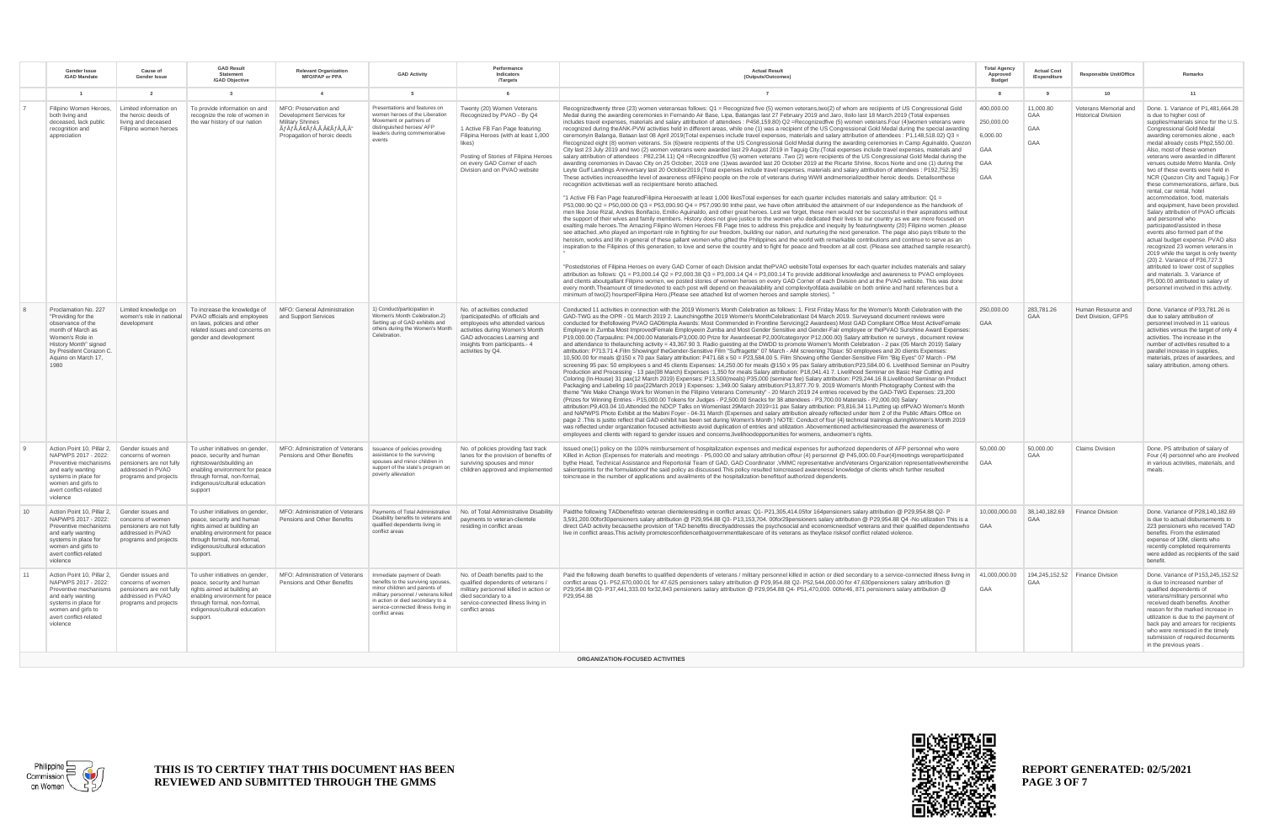|    | <b>Gender Issue</b><br><b>GAD Mandate</b>                                                                                                                                                             | Cause of<br><b>Gender Issue</b>                                                               | <b>GAD Result</b><br>/GAD Objective                                                                                                                                                                       | <b>Relevant Organization</b><br><b>MFO/PAP or PPA</b>                                                                         | <b>GAD Activity</b>                                                                                                                                                                                                                    | Performance<br>Indicators<br>Targets                                                                                                                                                                                                                 | <b>Actual Result</b><br>(Outputs/Outcomes)                                                                                                                                                                                                                                                                                                                                                                                                                                                                                                                                                                                                                                                                                                                                                                                                                                                                                                                                                                                                                                                                                                                                                                                                                                                                                                                                                                                                                                                                                                                                                                                                                                                                                                                                                                                                                                                                                                                                                                                                                                                                                                                                                                                                                                                                                                                                                                                                                                                                                                                                                                                                                                                                                                                                                                                                                                                                                                                                                                                                                                                                                                                                                                                                                                                                                                                                                                                                                                                                                                                                                                                                                                                                                                                                                                                                                                                                                                      | <b>Total Agency</b><br>Approved<br><b>Budget</b>          | <b>Actual Cost</b><br>/Expenditure                  | <b>Responsible Unit/Office</b>               | Remarks                                                                                                                                                                                                                                                                                                                                                                                                                                                                                                                                                                                                                                                                                                                                                                                                                                                                                                                                                                      |
|----|-------------------------------------------------------------------------------------------------------------------------------------------------------------------------------------------------------|-----------------------------------------------------------------------------------------------|-----------------------------------------------------------------------------------------------------------------------------------------------------------------------------------------------------------|-------------------------------------------------------------------------------------------------------------------------------|----------------------------------------------------------------------------------------------------------------------------------------------------------------------------------------------------------------------------------------|------------------------------------------------------------------------------------------------------------------------------------------------------------------------------------------------------------------------------------------------------|-------------------------------------------------------------------------------------------------------------------------------------------------------------------------------------------------------------------------------------------------------------------------------------------------------------------------------------------------------------------------------------------------------------------------------------------------------------------------------------------------------------------------------------------------------------------------------------------------------------------------------------------------------------------------------------------------------------------------------------------------------------------------------------------------------------------------------------------------------------------------------------------------------------------------------------------------------------------------------------------------------------------------------------------------------------------------------------------------------------------------------------------------------------------------------------------------------------------------------------------------------------------------------------------------------------------------------------------------------------------------------------------------------------------------------------------------------------------------------------------------------------------------------------------------------------------------------------------------------------------------------------------------------------------------------------------------------------------------------------------------------------------------------------------------------------------------------------------------------------------------------------------------------------------------------------------------------------------------------------------------------------------------------------------------------------------------------------------------------------------------------------------------------------------------------------------------------------------------------------------------------------------------------------------------------------------------------------------------------------------------------------------------------------------------------------------------------------------------------------------------------------------------------------------------------------------------------------------------------------------------------------------------------------------------------------------------------------------------------------------------------------------------------------------------------------------------------------------------------------------------------------------------------------------------------------------------------------------------------------------------------------------------------------------------------------------------------------------------------------------------------------------------------------------------------------------------------------------------------------------------------------------------------------------------------------------------------------------------------------------------------------------------------------------------------------------------------------------------------------------------------------------------------------------------------------------------------------------------------------------------------------------------------------------------------------------------------------------------------------------------------------------------------------------------------------------------------------------------------------------------------------------------------------------------------------------------|-----------------------------------------------------------|-----------------------------------------------------|----------------------------------------------|------------------------------------------------------------------------------------------------------------------------------------------------------------------------------------------------------------------------------------------------------------------------------------------------------------------------------------------------------------------------------------------------------------------------------------------------------------------------------------------------------------------------------------------------------------------------------------------------------------------------------------------------------------------------------------------------------------------------------------------------------------------------------------------------------------------------------------------------------------------------------------------------------------------------------------------------------------------------------|
|    | $\overline{1}$                                                                                                                                                                                        | $\overline{2}$                                                                                | $\overline{3}$                                                                                                                                                                                            | $\overline{a}$                                                                                                                | $\overline{5}$                                                                                                                                                                                                                         | 6                                                                                                                                                                                                                                                    | $\overline{7}$                                                                                                                                                                                                                                                                                                                                                                                                                                                                                                                                                                                                                                                                                                                                                                                                                                                                                                                                                                                                                                                                                                                                                                                                                                                                                                                                                                                                                                                                                                                                                                                                                                                                                                                                                                                                                                                                                                                                                                                                                                                                                                                                                                                                                                                                                                                                                                                                                                                                                                                                                                                                                                                                                                                                                                                                                                                                                                                                                                                                                                                                                                                                                                                                                                                                                                                                                                                                                                                                                                                                                                                                                                                                                                                                                                                                                                                                                                                                  | $\mathbf{R}$                                              | 9                                                   | 10                                           | 11                                                                                                                                                                                                                                                                                                                                                                                                                                                                                                                                                                                                                                                                                                                                                                                                                                                                                                                                                                           |
|    | Filipino Women Heroes,<br>both living and<br>deceased, lack public<br>recognition and<br>appreciation                                                                                                 | Limited information on<br>the heroic deeds of<br>living and deceased<br>Filipino women heroes | To provide information on and<br>recognize the role of women in<br>the war history of our nation                                                                                                          | MFO: Preservation and<br>Development Services for<br>Military Shrine<br>ĂfÂfÁ,¢ĂfÂ,Ă,€ĂfÂ,Ă,Â"<br>Propagation of heroic deeds | Presentations and features on<br>women heroes of the Liberation<br>Movement or partners of<br>distinguished heroes/ AFP<br>leaders during commemorative<br>events                                                                      | Twenty (20) Women Veterans<br>Recognized by PVAO - By Q4<br>1 Active FB Fan Page featuring<br>Filipina Heroes (with at least 1,000<br>likes)<br>Posting of Stories of Filipina Heroes<br>on every GAD Corner of each<br>Division and on PVAO website | Recognizedtwenty three (23) women veteransas follows: Q1 = Recognized five (5) women veterans,two(2) of whom are recipients of US Congressional Gold<br>Medal during the awarding ceremonies in Fernando Air Base, Lipa, Batangas last 27 February 2019 and Jaro, Iloilo last 18 March 2019 (Total expenses<br>includes travel expenses, materials and salary attribution of attendees : P458,159.80) Q2 =Recognizedfive (5) women veterans. Four (4)women veterans were<br>recognized during theANK-PVW activities held in different areas, while one (1) was a recipient of the US Congressional Gold Medal during the special awarding<br>ceremonyin Balanga, Bataan last 08 April 2019(Total expenses include travel expenses, materials and salary attribution of attendees : P1,148,518.02) Q3 =<br>Recognized eight (8) women veterans. Six (6)were recipients of the US Congressional Gold Medal during the awarding ceremonies in Camp Aguinaldo, Quezon<br>City last 23 July 2019 and two (2) women veterans were awarded last 29 August 2019 in Taguig City. (Total expenses include travel expenses, materials and<br>salary attribution of attendees : P82,234.11) Q4 =Recognizedfive (5) women veterans .Two (2) were recipients of the US Congressional Gold Medal during the<br>awarding ceremonies in Davao City on 25 October, 2019 one (1)was awarded last 20 October 2019 at the Ricarte Shrine, Ilocos Norte and one (1) during the<br>Leyte Gulf Landings Anniversary last 20 October2019.(Total expenses include travel expenses, materials and salary attribution of attendees : P192,752.35)<br>These activities increasedthe level of awareness ofFilipino people on the role of veterans during WWII andmemorializedtheir heroic deeds. Detailsonthese<br>recognition activitiesas well as recipientsare hereto attached.<br>*1 Active FB Fan Page featured Filipina Heroeswith at least 1.000 likes Total expenses for each quarter includes materials and salary attribution: Q1 =<br>P53,090.90 Q2 = P50,000.00 Q3 = P53,090.90 Q4 = P57,090.90 Inthe past, we have often attributed the attainment of our independence as the handwork of<br>men like Jose Rizal, Andres Bonifacio, Emilio Aguinaldo, and other great heroes. Lest we forget, these men would not be successful in their aspirations without<br>the support of their wives and family members. History does not give justice to the women who dedicated their lives to our country as we are more focused on<br>exalting male heroes. The Amazing Filipino Women Heroes FB Page tries to address this prejudice and inequity by featuringtwenty (20) Filipino women ,please<br>see attached.,who played an important role in fighting for our freedom, building our nation, and nurturing the next generation. The page also pays tribute to the<br>heroism, works and life in general of these gallant women who gifted the Philippines and the world with remarkable contributions and continue to serve as an<br>inspiration to the Filipinos of this generation, to love and serve the country and to fight for peace and freedom at all cost. (Please see attached sample research).<br>"Postedstories of Filipina Heroes on every GAD Corner of each Division andat thePVAO websiteTotal expenses for each quarter includes materials and salary<br>attribution as follows: Q1 = P3,000.14 Q2 = P2,000.38 Q3 = P3,000.14 Q4 = P3,000.14 To provide additional knowledge and awareness to PVAO employees<br>and clients aboutgallant Filipino women, we posted stories of women beroes on every GAD Corner of each Division and at the PVAO website. This was done<br>every month. Theamount of timedevoted to each post will depend on theavailability and complexityofdata available on both online and hard references but a<br>minimum of two(2) hoursperFilipina Hero.(Please see attached list of women heroes and sample stories). " | 400,000.00<br>250,000,00<br>6,000.00<br>GAA<br>GAA<br>GAA | 11.000.80<br>GAA<br>GAA<br>GAA                      | Veterans Memorial and<br>Historical Division | Done. 1. Variance of P1,481,664.28<br>is due to higher cost of<br>supplies/materials since for the U.S.<br>Congressional Gold Medal<br>awarding ceremonies alone, each<br>medal already costs Php2,550.00.<br>Also, most of these women<br>veterans were awarded in different<br>venues outside Metro Manila. Only<br>two of these events were held in<br>NCR (Quezon City and Taguig.) For<br>these commemorations, airfare, bus<br>rental, car rental, hotel<br>accommodation, food, materials<br>and equipment, have been provided<br>Salary attribution of PVAO officials<br>and personnel who<br>participated/assisted in these<br>events also formed part of the<br>actual budget expense. PVAO also<br>recognized 23 women veterans in<br>2019 while the target is only twenty<br>(20) 2. Variance of P36,727.3<br>attributed to lower cost of supplies<br>and materials. 3. Variance of<br>P5.000.00 attributed to salary of<br>personnel involved in this activity. |
|    | Proclamation No. 227<br>"Providing for the<br>observance of the<br>month of March as<br>Women's Role in<br>History Month" signed<br>by President Corazon C.<br>Aquino on March 17,<br>1980            | Limited knowledge on<br>women's role in national<br>development                               | To increase the knowledge of MFO: General Administration<br>PVAO officials and employees<br>on laws, policies and other<br>related issues and concerns on<br>gender and development                       | and Support Services                                                                                                          | 1) Conduct/participation in<br>Women's Month Celebration.2)<br>Setting up of GAD exhibits and<br>others during the Women's Month<br>Celebration.                                                                                       | No. of activities conducted<br>/participatedNo. of officials and<br>employees who attended various<br>activities during Women's Month<br>GAD advocacies Learning and<br>insights from participants.- 4<br>activities by Q4.                          | Conducted 11 activities in connection with the 2019 Women's Month Celebration as follows: 1. First Friday Mass for the Women's Month Celebration with the<br>GAD-TWG as the OPR - 01 March 2019 2. Launchingofthe 2019 Women's MonthCelebrationlast 04 March 2019. Surveysand document reviews were<br>conducted for thefollowing PVAO GADtimpla Awards: Most Commended in Frontline Servicing(2 Awardees) Most GAD Compliant Office Most ActiveFemale<br>Employee in Zumba Most ImprovedFemale Employeein Zumba and Most Gender Sensitive and Gender-Fair employee or thePVAO Sunshine Award Expenses:<br>P19,000.00 (Tarpaulins: P4,000.00 Materials-P3,000.00 Prize for Awardeesat P2,000/categoryor P12,000.00) Salary attribution re surveys, document review<br>and attendance to thelaunching activity = 43,367.90 3. Radio guesting at the DWDD to promote Women's Month Celebration - 2 pax (05 March 2019) Salary<br>attribution: P713.71 4. Film Showingof the Gender-Sensitive Film "Suffragette" 07 March - AM screening 70pax: 50 employees and 20 clients Expenses:<br>10,500.00 for meals @150 x 70 pax Salary attribution: P471.68 x 50 = P23,584.00 5. Film Showing ofthe Gender-Sensitive Film "Big Eyes" 07 March - PM<br>screening 95 pax: 50 employees s and 45 clients Expenses: 14.250.00 for meals @150 x 95 pax Salary attribution:P23.584.00 6. Livelihood Seminar on Poultry<br>Production and Processing - 13 pax(08 March) Expenses :1,350 for meals Salary attribution: P18,041.41 7. Livelihood Seminar on Basic Hair Cutting and<br>Coloring (In-House) 31 pax(12 March 2019) Expenses: P13,500(meals) P35,000 (seminar fee) Salary attribution: P29,244.16 8.Livelihood Seminar on Product<br>Packaging and Labeling 10 pax(22March 2019) Expenses: 1,349.00 Salary attribution:P13,877.70 9. 2019 Women's Month Photography Contest with the<br>theme "We Make Change Work for Women in the Filipino Veterans Community" - 20 March 2019 24 entries received by the GAD-TWG Expenses: 23,200<br>(Prizes for Winning Entries - P15,000,00 Tokens for Judges - P2,500,00 Snacks for 38 attendees - P3,700,00 Materials - P2,000,00) Salary<br>attribution:P9,403.04 10.Attended the NDCP Talks on Womenlast 29March 2019=11 pax Salary attribution: P3,816.34 11.Putting up ofPVAO Women's Month<br>and NAPWPS Photo Exhibit at the Mabini Foyer - 04-31 March (Expenses and salary attribution already reflected under Item 2 of the Public Affairs Office on<br>page 2 . This is justto reflect that GAD exhibit has been set during Women's Month ) NOTE: Conduct of four (4) technical trainings duringWomen's Month 2019<br>was reflected under organization focused activitiesto avoid duplication of entries and utilization .Abovementioned activitiesincreased the awareness of<br>employees and clients with regard to gender issues and concerns, livelihoodopportunities for womens, andwomen's rights.                                                                                                                                                                                                                                                                                                                                                                                                                                                                                                                                                                                                                                                                                                                                                                                                                                                                                                                                                                                            | 250.000.00<br>GAA                                         | 283,781.26<br>GAA                                   | Human Resource and<br>Devt Division, GFPS    | Done. Variance of P33,781.26 is<br>due to salary attribution of<br>personnel involved in 11 various<br>activities versus the target of only 4<br>activities. The increase in the<br>number of activities resulted to a<br>parallel increase in supplies.<br>materials, prizes of awardees, and<br>salary attribution, among others.                                                                                                                                                                                                                                                                                                                                                                                                                                                                                                                                                                                                                                          |
| 9  | Action Point 10, Pillar 2, Gender issues and<br>NAPWPS 2017 - 2022:<br>Preventive mechanisms<br>and early wanting<br>systems in place for<br>women and girls to<br>avert conflict-related<br>violence | concerns of women<br>pensioners are not fully<br>addressed in PVAO<br>programs and projects   | To usher initiatives on gender,<br>peace, security and human<br>rightstowardsbuilding an<br>enabling environment for peace<br>through formal, non-formal,<br>indigenous/cultural education<br>support     | MFO: Administration of Veterans<br>Pensions and Other Benefits                                                                | Issuance of policies providing<br>assistance to the surviving<br>spouses and minor children in<br>support of the state's program on<br>poverty alleviation                                                                             | No. of policies providing fast track<br>lanes for the provision of benefits of<br>surviving spouses and minor<br>children approved and implemented                                                                                                   | Issued one(1) policy on the 100% reimbursement of hospitalization expenses and medical expenses for authorized dependents of AFP personnel who were<br>Killed in Action (Expenses for materials and meetings - P5,000.00 and salary attribution offour (4) personnel @ P45,000.00.Four(4)meetings wereparticipated<br>bythe Head, Technical Assistance and Reportorial Team of GAD, GAD Coordinator , VMMC representative andVeterans Organization representativewhereinthe<br>salientpoints for the formulationof the said policy as discussed. This policy resulted toincreased awareness/ knowledge of clients which further resulted<br>toincrease in the number of applications and availments of the hospitalization benefitsof authorized dependents.                                                                                                                                                                                                                                                                                                                                                                                                                                                                                                                                                                                                                                                                                                                                                                                                                                                                                                                                                                                                                                                                                                                                                                                                                                                                                                                                                                                                                                                                                                                                                                                                                                                                                                                                                                                                                                                                                                                                                                                                                                                                                                                                                                                                                                                                                                                                                                                                                                                                                                                                                                                                                                                                                                                                                                                                                                                                                                                                                                                                                                                                                                                                                                                    | 50,000.00<br>GAA                                          | 50,000.00<br>GAA                                    | <b>Claims Division</b>                       | Done. PS attribution of salary of<br>Four (4) personnel who are involved<br>in various activities, materials, and<br>meals.                                                                                                                                                                                                                                                                                                                                                                                                                                                                                                                                                                                                                                                                                                                                                                                                                                                  |
| 10 | Action Point 10, Pillar 2, Gender issues and<br>NAPWPS 2017 - 2022:<br>Preventive mechanisms<br>and early wanting<br>systems in place for<br>women and girls to<br>avert conflict-related<br>violence | concerns of women<br>pensioners are not fully<br>addressed in PVAO<br>programs and projects   | To usher initiatives on gender,<br>peace, security and human<br>rights aimed at building an<br>enabling environment for peace<br>through formal, non-formal,<br>indigenous/cultural education<br>support. | MFO: Administration of Veterans<br>Pensions and Other Benefits                                                                | Payments of Total Administrative<br>Disability benefits to veterans and<br>qualified dependents living in<br>conflict areas                                                                                                            | No. of Total Administrative Disability<br>payments to veteran-clientele<br>residing in conflict areas                                                                                                                                                | Paidthe following TADbenefitsto veteran clienteleresiding in conflict areas: Q1- P21,305,414.05for 164pensioners salary attribution @ P29,954.88 Q2- P<br>3,591,200.00for30pensioners salary attribution @ P29,954.88 Q3- P13,153,704. 00for29pensioners salary attribution @ P29,954.88 Q4 -No utilization This is a<br>direct GAD activity becausethe provision of TAD benefits directlyaddresses the psychosocial and economicneedsof veterans and their qualified dependentswho<br>live in conflict areas. This activity promotesconfidencethatgovernmenttakescare of its veterans as theyface risksof conflict related violence.                                                                                                                                                                                                                                                                                                                                                                                                                                                                                                                                                                                                                                                                                                                                                                                                                                                                                                                                                                                                                                                                                                                                                                                                                                                                                                                                                                                                                                                                                                                                                                                                                                                                                                                                                                                                                                                                                                                                                                                                                                                                                                                                                                                                                                                                                                                                                                                                                                                                                                                                                                                                                                                                                                                                                                                                                                                                                                                                                                                                                                                                                                                                                                                                                                                                                                           | GAA                                                       | 10,000,000.00 38,140,182.69 Finance Division<br>GAA |                                              | Done. Variance of P28,140,182.69<br>is due to actual disbursements to<br>223 pensioners who received TAD<br>benefits. From the estimated<br>expense of 10M, clients who<br>recently completed requirements<br>were added as recipients of the said<br>benefit                                                                                                                                                                                                                                                                                                                                                                                                                                                                                                                                                                                                                                                                                                                |
| 11 | Action Point 10, Pillar 2, Gender issues and<br>NAPWPS 2017 - 2022:<br>Preventive mechanisms<br>and early wanting<br>systems in place for<br>women and girls to<br>avert conflict-related<br>violence | concerns of women<br>pensioners are not fully<br>addressed in PVAO<br>programs and projects   | To usher initiatives on gender,<br>peace, security and human<br>rights aimed at building an<br>enabling environment for peace<br>through formal, non-formal,<br>indigenous/cultural education<br>support. | MFO: Administration of Veterans<br>Pensions and Other Benefits                                                                | Immediate nayment of Death<br>benefits to the surviving spouses,<br>minor children and parents of<br>military personnel / veterans killed<br>in action or died secondary to a<br>service-connected illness living in<br>conflict areas | No. of Death benefits paid to the<br>qualified dependents of veterans /<br>military personnel killed in action or<br>died secondary to a<br>service-connected illness living in<br>conflict areas                                                    | Paid the following death benefits to qualified dependents of veterans / military personnel killed in action or died secondary to a service-connected illness living in 41,000,000.00<br>conflict areas Q1- P52,670,000.01 for 47,625 pensioners salary attribution @ P29,954.88 Q2- P52,544,000.00 for 47,630pensioners salary attribution @<br>P29,954.88 Q3- P37,441,333.00 for32,843 pensioners salary attribution @ P29,954.88 Q4- P51,470,000. 00for46, 871 pensioners salary attribution @<br>P29,954.88<br>ORGANIZATION-FOCUSED ACTIVITIES                                                                                                                                                                                                                                                                                                                                                                                                                                                                                                                                                                                                                                                                                                                                                                                                                                                                                                                                                                                                                                                                                                                                                                                                                                                                                                                                                                                                                                                                                                                                                                                                                                                                                                                                                                                                                                                                                                                                                                                                                                                                                                                                                                                                                                                                                                                                                                                                                                                                                                                                                                                                                                                                                                                                                                                                                                                                                                                                                                                                                                                                                                                                                                                                                                                                                                                                                                                               | GAA                                                       | GAA                                                 | 194,245,152.52 Finance Division              | Done, Variance of P153,245,152,52<br>is due to increased number of<br>qualified dependents of<br>veterans/military personnel who<br>received death benefits. Another<br>reason for the marked increase in<br>utilization is due to the payment of<br>back pay and arrears for recipients<br>who were remissed in the timely<br>submission of required documents<br>in the previous years.                                                                                                                                                                                                                                                                                                                                                                                                                                                                                                                                                                                    |





**REPORT GENERATED: 02/5/2021 PAGE 3 OF 7**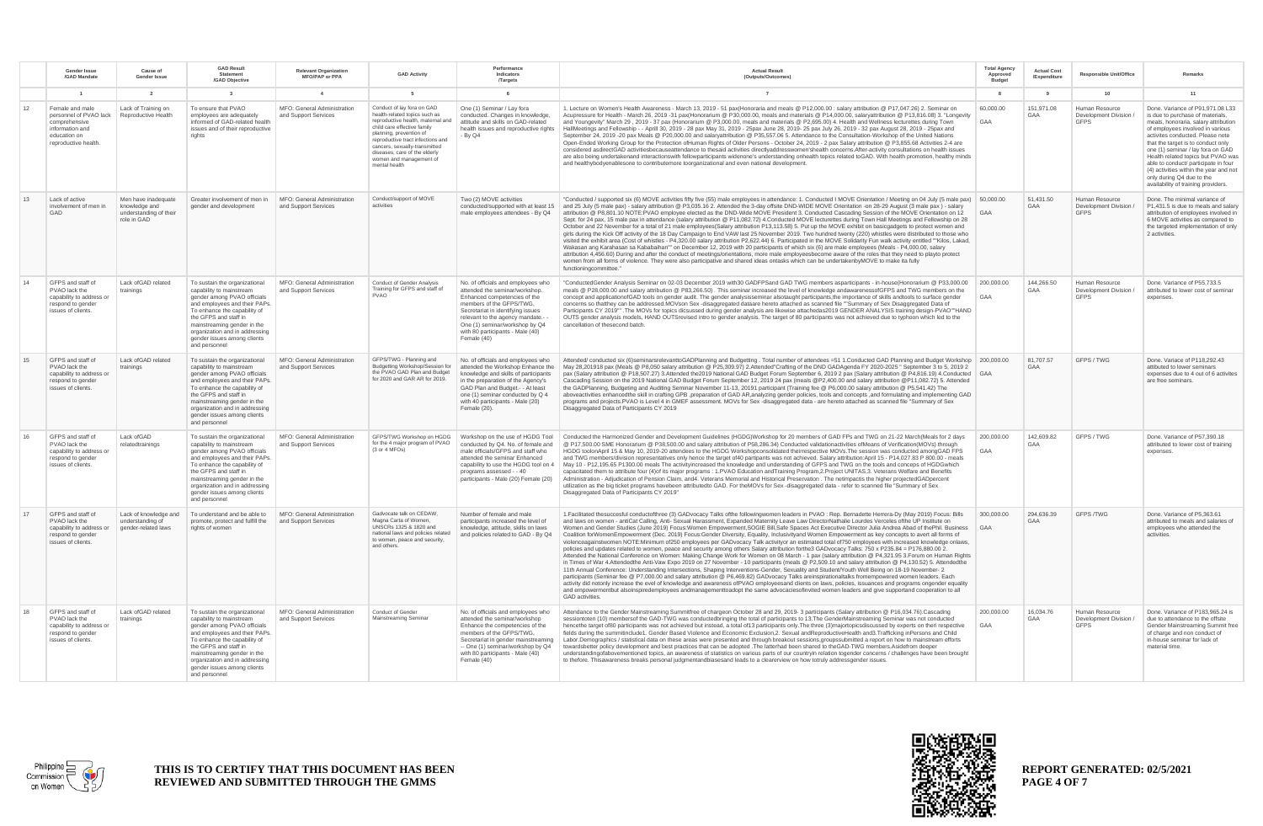|    | <b>Gender Issue</b><br>/GAD Mandate                                                                                  | Cause of<br>Gender Issue                                                      | <b>GAD Result</b><br>Statement<br>/GAD Objective                                                                                                                                                                                                                                                    | <b>Relevant Organization</b><br><b>MFO/PAP</b> or PPA | <b>GAD Activity</b>                                                                                                                                                                                                                                                                                           | Performanc<br>Indicators<br><b>Targets</b>                                                                                                                                                                                                                                                     | <b>Actual Result</b><br>(Outputs/Outcomes)                                                                                                                                                                                                                                                                                                                                                                                                                                                                                                                                                                                                                                                                                                                                                                                                                                                                                                                                                                                                                                                                                                                                                                                                                                                                                                                                                                                                                                                                                                                                                                                                                                                                                                                                                                                                                                                           | <b>Total Agency</b><br>Approved<br><b>Budget</b> | <b>Actual Cost</b><br>/Expenditure | Responsible Unit/Office                                 | Remarks                                                                                                                                                                                                                                                                                                                                                                                                                                                     |
|----|----------------------------------------------------------------------------------------------------------------------|-------------------------------------------------------------------------------|-----------------------------------------------------------------------------------------------------------------------------------------------------------------------------------------------------------------------------------------------------------------------------------------------------|-------------------------------------------------------|---------------------------------------------------------------------------------------------------------------------------------------------------------------------------------------------------------------------------------------------------------------------------------------------------------------|------------------------------------------------------------------------------------------------------------------------------------------------------------------------------------------------------------------------------------------------------------------------------------------------|------------------------------------------------------------------------------------------------------------------------------------------------------------------------------------------------------------------------------------------------------------------------------------------------------------------------------------------------------------------------------------------------------------------------------------------------------------------------------------------------------------------------------------------------------------------------------------------------------------------------------------------------------------------------------------------------------------------------------------------------------------------------------------------------------------------------------------------------------------------------------------------------------------------------------------------------------------------------------------------------------------------------------------------------------------------------------------------------------------------------------------------------------------------------------------------------------------------------------------------------------------------------------------------------------------------------------------------------------------------------------------------------------------------------------------------------------------------------------------------------------------------------------------------------------------------------------------------------------------------------------------------------------------------------------------------------------------------------------------------------------------------------------------------------------------------------------------------------------------------------------------------------------|--------------------------------------------------|------------------------------------|---------------------------------------------------------|-------------------------------------------------------------------------------------------------------------------------------------------------------------------------------------------------------------------------------------------------------------------------------------------------------------------------------------------------------------------------------------------------------------------------------------------------------------|
|    | $\overline{1}$                                                                                                       | $\overline{2}$                                                                | $\overline{\mathbf{3}}$                                                                                                                                                                                                                                                                             | $\overline{4}$                                        | 5                                                                                                                                                                                                                                                                                                             | 6                                                                                                                                                                                                                                                                                              | $\overline{7}$                                                                                                                                                                                                                                                                                                                                                                                                                                                                                                                                                                                                                                                                                                                                                                                                                                                                                                                                                                                                                                                                                                                                                                                                                                                                                                                                                                                                                                                                                                                                                                                                                                                                                                                                                                                                                                                                                       | 8                                                | $_{9}$                             | 10                                                      | 11                                                                                                                                                                                                                                                                                                                                                                                                                                                          |
| 12 | Female and male<br>personnel of PVAO lack<br>comprehensive<br>information and<br>education on<br>reproductive health | Lack of Training on<br>Reproductive Health                                    | To ensure that PVAO<br>employees are adequately<br>informed of GAD-related health<br>issues and of their reproductive<br>rights                                                                                                                                                                     | MFO: General Administration<br>and Support Services   | Conduct of lay fora on GAD<br>health-related topics such as<br>reproductive health, maternal and<br>child care effective family<br>planning, prevention of<br>reproductive tract infections and<br>cancers, sexually-transmitted<br>diseases, care of the elderly<br>women and management of<br>mental health | One (1) Seminar / Lay fora<br>conducted. Changes in knowledge,<br>attitude and skills on GAD-related<br>health issues and reproductive rights<br>By Q4                                                                                                                                         | 1. Lecture on Women's Health Awareness - March 13, 2019 - 51 pax(Honoraria and meals @ P12,000.00 : salary attribution @ P17,047.26) 2. Seminar on<br>Acupressure for Health - March 26, 2019 -31 pax(Honorarium @ P30,000.00, meals and materials @ P14,000.00, salaryattribution @ P13,816.08) 3. "Longevity<br>and Youngevity" March 29, 2019 - 37 pax (Honorarium @ P3,000.00, meals and materials @ P2,695.00) 4. Health and Wellness lecturettes during Town<br>HallMeetings and Fellowship - - Aprill 30, 2019 - 28 pax May 31, 2019 - 25pax June 28, 2019 - 25 pax July 26, 2019 - 32 pax August 28, 2019 - 25pax and<br>September 24, 2019 -20 pax Meals @ P20,000.00 and salaryattribution @ P35,557.06 5. Attendance to the Consultation-Workshop of the United Nations<br>Open-Ended Working Group for the Protection ofHuman Rights of Older Persons - October 24, 2019 - 2 pax Salary attribution @ P3,855.68 Activities 2-4 are<br>considered asdirectGAD activitiesbecauseattendance to thesaid activities directlyaddresswomen'shealth concerns.After-activity consultations on health issues<br>are also being undertakenand interactionswith fellowparticipants widenone's understanding onhealth topics related toGAD. With health promotion, healthy minds<br>and healthybodyenablesone to contributemore toorganizational and even national development.                                                                                                                                                                                                                                                                                                                                                                                                                                                                                                                       | 60,000.00<br>GAA                                 | 151,971.08<br>GAA                  | Human Resource<br>Development Division<br><b>GFPS</b>   | Done. Variance of P91,971.08 L33<br>is due to purchase of materials.<br>meals, honoraria, salary attribution<br>of employees involved in various<br>activites conducted. Please note<br>that the target is to conduct only<br>one (1) seminar / lay fora on GAD<br>Health related topics but PVAO was<br>able to conduct/ participate in four<br>(4) activities within the year and not<br>only during Q4 due to the<br>availability of training providers. |
| 13 | Lack of active<br>involvement of men in<br>GAD                                                                       | Men have inadequate<br>knowledge and<br>understanding of their<br>role in GAD | Greater involvement of men in MFO: General Administration<br>gender and development                                                                                                                                                                                                                 | and Support Services                                  | Conduct/support of MOVE<br>activities                                                                                                                                                                                                                                                                         | Two (2) MOVE activities<br>conducted/supported with at least 15<br>male employees attendees - By Q4                                                                                                                                                                                            | "Conducted / supported six (6) MOVE activities fifty five (55) male employees in attendance: 1. Conducted I MOVE Orientation / Meeting on 04 July (5 male pax) 50,000.00<br>and 25 July (5 male pax) - salary attribution @ P3,035.16 2. Attended the 3-day offsite DND-WIDE MOVE Orientation -on 28-29 August (3 male pax) - salary<br>attribution @ P8,801.10 NOTE:PVAO employee elected as the DND-Wide MOVE President 3. Conducted Cascading Session of the MOVE Orientation on 12<br>Sept. for 24 pax, 15 male pax in attendance (salary attribution @ P11,082.72) 4.Conducted MOVE lecturettes during Town Hall Meetings and Fellowship on 28<br>October and 22 November for a total of 21 male employees(Salary attribution P13,113.58) 5. Put up the MOVE exhibit on basicgadgets to protect women and<br>girls during the Kick Off activity of the 18 Day Campaign to End VAW last 25 November 2019. Two hundred twenty (220) whistles were distributed to those who<br>visited the exhibit area (Cost of whistles - P4,320.00 salary attribution P2,622.44) 6. Participated in the MOVE Solidarity Fun walk activity entitled "Kilos, Lakad,<br>Wakasan ang Karahasan sa Kababaihan** on December 12, 2019 with 20 participants of which six (6) are male employees (Meals - P4,000.00, salary<br>attribution 4,456.60) During and after the conduct of meetings/orientations, more male employeesbecome aware of the roles that they need to playto protect<br>women from all forms of violence. They were also participative and shared ideas ontasks which can be undertakenbyMOVE to make ita fully<br>functioningcommittee.                                                                                                                                                                                                                                                           | GAA                                              | 51,431.50<br>GAA                   | Human Resource<br>Development Division<br><b>GFPS</b>   | Done. The minimal variance of<br>P1,431.5 is due to meals and salary<br>attribution of employees involved in<br>6 MOVE activities as compared to<br>the targeted implementation of only<br>2 activities.                                                                                                                                                                                                                                                    |
| 14 | GFPS and staff of<br>PVAO lack the<br>capability to address or<br>respond to gender<br>issues of clients.            | Lack of GAD related<br>trainings                                              | To sustain the organizational<br>capability to mainstream<br>gender among PVAO officials<br>and employees and their PAPs.<br>To enhance the capability of<br>the GFPS and staff in<br>mainstreaming gender in the<br>organization and in addressing<br>gender issues among clients<br>and personnel | MFO: General Administration<br>and Support Services   | Conduct of Gender Analysis<br>Training for GFPS and staff of<br>PVAO <sup>1</sup>                                                                                                                                                                                                                             | No. of officials and employees who<br>attended the seminar/workshop.<br>Enhanced competencies of the<br>members of the GFPS/TWG.<br>Secretariat in identifying issues<br>relevant to the agency mandate.-<br>One (1) seminar/workshop by Q4<br>with 80 participants - Male (40)<br>Female (40) | "ConductedGender Analysis Seminar on 02-03 December 2019 with30 GADFPSand GAD TWG members asparticipants - in-house(Honorarium @ P33,000,00<br>meals @ P28,000.00 and salary attribution @ P83,266.50) . This seminar increased the level of knowledge andawarenessofGFPS and TWG members on the<br>concept and applicationofGAD tools on gender audit. The gender analysisseminar alsotaught participants, the importance of skills andtools to surface gender<br>concerns so thatthey can be addressed.MOVson Sex -disaggregated dataare hereto attached as scanned file ""Summary of Sex Disaggregated Data of<br>Participants CY 2019" .The MOVs for topics dicsussed during gender analysis are likewise attachedas2019 GENDER ANALYSIS training design-PVAO" HAND<br>OUTS gender analysis models, HAND OUTSrevised intro to gender analysis. The target of 80 participants was not achieved due to typhoon which led to the<br>cancellation of thesecond batch.                                                                                                                                                                                                                                                                                                                                                                                                                                                                                                                                                                                                                                                                                                                                                                                                                                                                                                                                | 200,000.00<br>GAA                                | 144.266.50<br>GAA                  | Human Resource<br>Development Division /<br><b>GFPS</b> | Done, Variance of P55, 733.5<br>attributed to lower cost of seminar<br>expenses.                                                                                                                                                                                                                                                                                                                                                                            |
| 15 | GFPS and staff of<br>PVAO lack the<br>capability to address or<br>respond to gender<br>issues of clients.            | Lack of GAD related<br>trainings                                              | To sustain the organizational<br>capability to mainstream<br>gender among PVAO officials<br>and employees and their PAPs.<br>To enhance the capability of<br>the GFPS and staff in<br>mainstreaming gender in the<br>organization and in addressing<br>gender issues among clients<br>and personnel | MFO: General Administration<br>and Support Services   | GFPS/TWG - Planning and<br>Budgetting Workshop/Session for<br>the PVAO GAD Plan and Budget<br>for 2020 and GAR AR for 2019.                                                                                                                                                                                   | No. of officials and employees who<br>attended the Workshop Enhance the<br>knowledge and skills of participants<br>in the preparation of the Agency's<br>GAD Plan and Budget.- - At least<br>one (1) seminar conducted by Q 4<br>with 40 participants - Male (20)<br>Female (20).              | Attended/ conducted six (6)seminarsrelevanttoGADPlanning and Budgetting . Total number of attendees =51 1.Conducted GAD Planning and Budget Workshop 200,000.00<br>May 28,201918 pax (Meals @ P8,050 salary attribution @ P25,309.97) 2.Attended Crafting of the DND GADAgenda FY 2020-2025 " September 3 to 5, 2019 2<br>pax (Salary attribution @ P18,507.27) 3.Attended the2019 National GAD Budget Forum September 6, 2019 2 pax (Salary attribution @ P4,816.19) 4.Conducted GAA<br>Cascading Session on the 2019 National GAD Budget Forum September 12, 2019 24 pax (meals @P2,400.00 and salary attribution @P11,082.72) 5. Attended<br>the GADPlanning, Budgeting and Auditing Seminar November 11-13, 20191 participant (Training fee @ P6,000.00 salary attribution @ P5,541.42) The<br>aboveactivities enhancedthe skill in crafting GPB ,preparation of GAD AR,analyzing gender policies, tools and concepts, and formulating and implementing GAD<br>programs and projects.PVAO is Level 4 in GMEF assessment. MOVs for Sex -disaggregated data - are hereto attached as scanned file "Summary of Sex<br>Disaggregated Data of Participants CY 2019                                                                                                                                                                                                                                                                                                                                                                                                                                                                                                                                                                                                                                                                                                                                    |                                                  | 81,707.57<br>GAA                   | GFPS / TWG                                              | Done. Variace of P118,292.43<br>attibuted to lower seminars<br>expenses due to 4 out of 6 activites<br>are free seminars.                                                                                                                                                                                                                                                                                                                                   |
| 16 | GFPS and staff of<br>PVAO lack the<br>capability to address or<br>respond to gender<br>issues of clients.            | Lack of GAD<br>relatedtrainings                                               | To sustain the organizational<br>capability to mainstream<br>gender among PVAO officials<br>and employees and their PAPs.<br>To enhance the capability of<br>the GFPS and staff in<br>mainstreaming gender in the<br>organization and in addressing<br>gender issues among clients<br>and personnel | MFO: General Administration<br>and Support Services   | GFPS/TWG Workshop on HGDG<br>for the 4 maior program of PVAO<br>(3 or 4 MFOs)                                                                                                                                                                                                                                 | Workshop on the use of HGDG Tool<br>conducted by Q4. No. of female and<br>male officials/GFPS and staff who<br>attended the seminar Enhanced<br>capability to use the HGDG tool on 4<br>programs assessed - - 40<br>participants - Male (20) Female (20)                                       | Conducted the Harmonized Gender and Development Guidelines (HGDG)Workshop for 20 members of GAD FPs and TWG on 21-22 March(Meals for 2 days<br>@ P17,500.00 SME Honorarium @ P38,500.00 and salary attribution of P58,286,34) Conducted validationactivities of Means of Verification (MOVs) through<br>HGDG toolonApril 15 & May 10, 2019-20 attendees to the HGDG Workshopconsolidated theirrespective MOVs. The session was conducted amongGAD FPS<br>and TWG members/division representatives only hence the target of40 partipants was not achieved. Salary attribution: April 15 - P14,027.83 P 800.00 - meals<br>May 10 - P12,195.65 P1300.00 meals The activity ncreased the knowledge and understanding of GFPS and TWG on the tools and conceps of HGDG which<br>capacitated them to attribute four (4)of its major programs : 1.PVAO Education andTraining Program, 2.Project UNITAS, 3. Veterans Welfare and Benefits<br>Administration - Adjudication of Pension Claim, and 4. Veterans Memorial and Historical Preservation . The netimpactis the higher projectedGADpercent<br>utilization as the big ticket programs havebeen attributedto GAD. For theMOVs for Sex -disaggregated data - refer to scanned file "Summary of Sex<br>Disaggregated Data of Participants CY 2019"                                                                                                                                                                                                                                                                                                                                                                                                                                                                                                                                                                                                       | 200,000.00<br>GAA                                | 142,609.82<br>GAA                  | GFPS / TWG                                              | Done. Variance of P57,390.18<br>attributed to lower cost of training<br>expenses.                                                                                                                                                                                                                                                                                                                                                                           |
| 17 | GFPS and staff of<br>PVAO lack the<br>capability to address or<br>respond to gender<br>issues of clients.            | Lack of knowledge and<br>understanding of<br>gender-related laws              | To understand and he able to<br>promote, protect and fulfill the<br>rights of women                                                                                                                                                                                                                 | MFO: General Administration<br>and Support Services   | Gadvocate talk on CEDAW,<br>Magna Carta of Women,<br>UNSCRs 1325 & 1820 and<br>national laws and policies related<br>to women, peace and security,<br>and others.                                                                                                                                             | Number of female and male<br>participants increased the level of<br>knowledge, attitude, skills on laws<br>and policies related to GAD - By Q4                                                                                                                                                 | 1. Facilitated thesuccesful conductofthree (3) GADvocacy Talks ofthe followingwomen leaders in PVAO : Rep. Bernadette Herrera-Dy (May 2019) Focus: Bills<br>and laws on women - antiCat Calling, Anti- Sexual Harassment, Expanded Maternity Leave Law DirectorNathalie Lourdes Verceles ofthe UP Institute on<br>Women and Gender Studies (June 2019) Focus:Women Empowerment, SOGIE Bill, Safe Spaces Act Executive Director Julia Andrea Abad of thePhil. Business<br>Coalition forWomenEmpowerment (Dec. 2019) Focus: Gender Diversity, Equality, Inclusivityand Women Empowerment as key concepts to avert all forms of<br>violenceagainstwomen NOTE:Minimum of250 employees per GADvocacy Talk activityor an estimated total of750 employees with increased knowledge onlaws,<br>policies and updates related to women, peace and security among others Salary attribution forthe3 GADvocacy Talks: 750 x P235.84 = P176,880.00 2.<br>Attended the National Conference on Women: Making Change Work for Women on 08 March - 1 pax (salary attribution @ P4.321.95 3.Forum on Human Rights<br>in Times of War 4.Attendedthe Anti-Vaw Expo 2019 on 27 November - 10 participants (meals @ P2,509.10 and salary attribution @ P4,130.52) 5. Attendedthe<br>11th Annual Conference: Understanding Intersections, Shaping Interventions-Gender, Sexuality and Student/Youth Well Being on 18-19 November- 2<br>participants (Seminar fee @ P7,000.00 and salary attribution @ P6.469.82) GADyocacy Talks areinspirationaltalks fromempowered women leaders. Each<br>activity did notonly increase the evel of knowledge and awareness ofPVAO employeesand clients on laws, policies, issuances and programs ongender equality<br>and empowermentbut alsoinspiredemployees andmanagementtoadopt the same advocaciesofinvited women leaders and give supportand cooperation to all<br>GAD activities. | 300,000,00<br>GAA                                | 294.636.39<br>GAA                  | GFPS /TWG                                               | Done. Variance of P5.363.61<br>attributed to meals and salaries of<br>employees who attended the<br>activities.                                                                                                                                                                                                                                                                                                                                             |
| 18 | GFPS and staff of<br>PVAO lack the<br>capability to address or<br>respond to gender<br>issues of clients.            | Lack of GAD related<br>trainings                                              | To sustain the organizational<br>capability to mainstream<br>gender among PVAO officials<br>and employees and their PAPs.<br>To enhance the capability of<br>the GFPS and staff in<br>mainstreaming gender in the<br>organization and in addressing<br>gender issues among clients<br>and personnel | MFO: General Administration<br>and Support Services   | Conduct of Gender<br>Mainstreaming Seminar                                                                                                                                                                                                                                                                    | No. of officials and employees who<br>attended the seminar/workshop<br>Enhance the competencies of the<br>members of the GFPS/TWG,<br>Secretariat in gender mainstreaming<br>-- One (1) seminar/workshop by Q4<br>with 80 participants - Male (40)<br>Female (40)                              | Attendance to the Gender Mainstreaming Summitfree of chargeon October 28 and 29, 2019- 3 participants (Salary attribution @ P16,034.76).Cascading<br>sessiontoten (10) membersof the GAD-TWG was conductedbringing the total of participants to 13. The GenderMainstreaming Seminar was not conducted<br>hencethe target of80 participants was not achieved but instead, a total of13 participants only. The three (3)majortopicsdiscussed by experts on theri respective<br>fields during the summitinclude1. Gender Based Violence and Economic Exclusion,2. Sexual andReproductiveHealth and3.Trafficking inPersons and Child<br>Labor.Demographics / statistical data on these areas were presented and through breakout sessions,groupssubmitted a report on how to mainstream efforts<br>towardsbetter policy development and best practices that can be adopted .The latterhad been shared to theGAD-TWG members.Asidefrom deeper<br>understandingofabovementioned topics, an awareness of statistics on various parts of our countryin relation togender concerns / challenges have been brought<br>to thefore. Thisawareness breaks personal judgmentandbiasesand leads to a clearerview on how totruly addressgender issues.                                                                                                                                                                                                                                                                                                                                                                                                                                                                                                                                                                                                                                                               | 200,000.00<br>GAA                                | 16,034.76<br>GAA                   | Human Resource<br>Development Division /<br>GFPS        | Done, Variance of P183,965,24 is<br>due to attendance to the offsite<br>Gender Mainstreaming Summit free<br>of charge and non conduct of<br>in-house seminar for lack of<br>material time.                                                                                                                                                                                                                                                                  |





**REPORT GENERATED: 02/5/2021 PAGE 4 OF 7**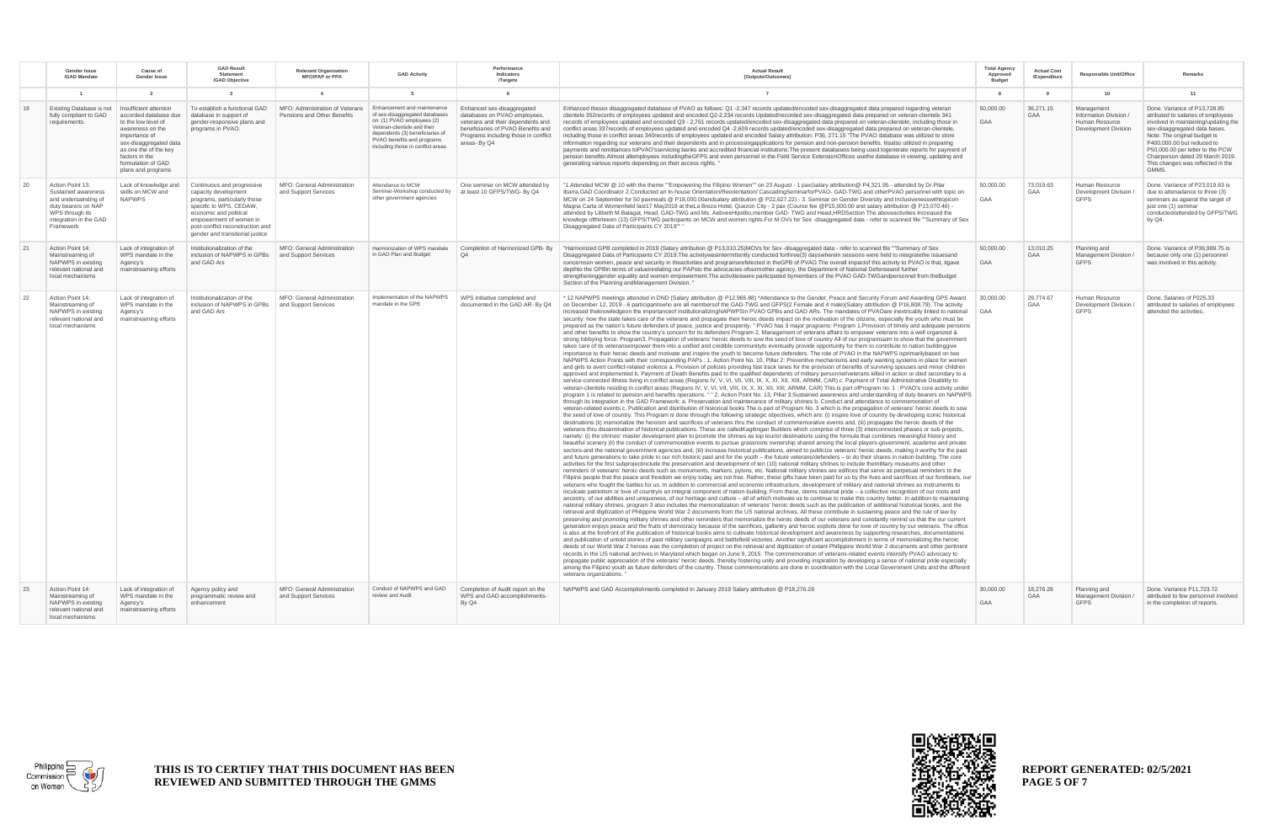|    | <b>Gender Issue</b><br>/GAD Mandate                                                                                                              | Cause of<br>Gender Issue                                                                                                                                                                           | <b>GAD Result</b><br>Statement<br>/GAD Objective                                                                                                                                                                                          | <b>Relevant Organization</b><br><b>MFO/PAP</b> or PPA          | <b>GAD Activity</b>                                                                                                                                                                                                              | Performance<br>Indicators<br><b>/Targets</b>                                                                                                                                                 | <b>Actual Result</b><br>(Outputs/Outcomes)                                                                                                                                                                                                                                                                                                                                                                                                                                                                                                                                                                                                                                                                                                                                                                                                                                                                                                                                                                                                                                                                                                                                                                                                                                                                                                                                                                                                                                                                                                                                                                                                                                                                                                                                                                                                                                                                                                                                                                                                                                                                                                                                                                                                                                                                                                                                                                                                                                                                                                                                                                                                                                                                                                                                                                                                                                                                                                                                                                                                                                                                                                                                                                                                                                                                                                                                                                                                                                                                                                                                                                                                                                                                                                                                                                                                                                                                                                                                                                                                                                                                                                                                                                                                                                                                                                                                                                                                                                                                                                                                                                                                                                                                                                                                                                                                                                                                                                                                                                                                                                                                                                                                                                                                                                                                                                                                                                                                                                                                                                                                                                                                                                                                                                                                                                                                                                                                                                                                                                                                                                                                                                                                                                                                                                                                                                                          | <b>Total Agency</b><br>Approved<br><b>Budget</b> | <b>Actual Cost</b><br>/Expenditure | Responsible Unit/Office                                                        | Remarks                                                                                                                                                                                                                                                                                                                         |
|----|--------------------------------------------------------------------------------------------------------------------------------------------------|----------------------------------------------------------------------------------------------------------------------------------------------------------------------------------------------------|-------------------------------------------------------------------------------------------------------------------------------------------------------------------------------------------------------------------------------------------|----------------------------------------------------------------|----------------------------------------------------------------------------------------------------------------------------------------------------------------------------------------------------------------------------------|----------------------------------------------------------------------------------------------------------------------------------------------------------------------------------------------|---------------------------------------------------------------------------------------------------------------------------------------------------------------------------------------------------------------------------------------------------------------------------------------------------------------------------------------------------------------------------------------------------------------------------------------------------------------------------------------------------------------------------------------------------------------------------------------------------------------------------------------------------------------------------------------------------------------------------------------------------------------------------------------------------------------------------------------------------------------------------------------------------------------------------------------------------------------------------------------------------------------------------------------------------------------------------------------------------------------------------------------------------------------------------------------------------------------------------------------------------------------------------------------------------------------------------------------------------------------------------------------------------------------------------------------------------------------------------------------------------------------------------------------------------------------------------------------------------------------------------------------------------------------------------------------------------------------------------------------------------------------------------------------------------------------------------------------------------------------------------------------------------------------------------------------------------------------------------------------------------------------------------------------------------------------------------------------------------------------------------------------------------------------------------------------------------------------------------------------------------------------------------------------------------------------------------------------------------------------------------------------------------------------------------------------------------------------------------------------------------------------------------------------------------------------------------------------------------------------------------------------------------------------------------------------------------------------------------------------------------------------------------------------------------------------------------------------------------------------------------------------------------------------------------------------------------------------------------------------------------------------------------------------------------------------------------------------------------------------------------------------------------------------------------------------------------------------------------------------------------------------------------------------------------------------------------------------------------------------------------------------------------------------------------------------------------------------------------------------------------------------------------------------------------------------------------------------------------------------------------------------------------------------------------------------------------------------------------------------------------------------------------------------------------------------------------------------------------------------------------------------------------------------------------------------------------------------------------------------------------------------------------------------------------------------------------------------------------------------------------------------------------------------------------------------------------------------------------------------------------------------------------------------------------------------------------------------------------------------------------------------------------------------------------------------------------------------------------------------------------------------------------------------------------------------------------------------------------------------------------------------------------------------------------------------------------------------------------------------------------------------------------------------------------------------------------------------------------------------------------------------------------------------------------------------------------------------------------------------------------------------------------------------------------------------------------------------------------------------------------------------------------------------------------------------------------------------------------------------------------------------------------------------------------------------------------------------------------------------------------------------------------------------------------------------------------------------------------------------------------------------------------------------------------------------------------------------------------------------------------------------------------------------------------------------------------------------------------------------------------------------------------------------------------------------------------------------------------------------------------------------------------------------------------------------------------------------------------------------------------------------------------------------------------------------------------------------------------------------------------------------------------------------------------------------------------------------------------------------------------------------------------------------------------------------------------------------------------------------------|--------------------------------------------------|------------------------------------|--------------------------------------------------------------------------------|---------------------------------------------------------------------------------------------------------------------------------------------------------------------------------------------------------------------------------------------------------------------------------------------------------------------------------|
|    | $\overline{1}$                                                                                                                                   | $\overline{2}$                                                                                                                                                                                     | $\overline{\mathbf{3}}$                                                                                                                                                                                                                   | $\overline{a}$                                                 | 5                                                                                                                                                                                                                                | 6                                                                                                                                                                                            | $\overline{7}$                                                                                                                                                                                                                                                                                                                                                                                                                                                                                                                                                                                                                                                                                                                                                                                                                                                                                                                                                                                                                                                                                                                                                                                                                                                                                                                                                                                                                                                                                                                                                                                                                                                                                                                                                                                                                                                                                                                                                                                                                                                                                                                                                                                                                                                                                                                                                                                                                                                                                                                                                                                                                                                                                                                                                                                                                                                                                                                                                                                                                                                                                                                                                                                                                                                                                                                                                                                                                                                                                                                                                                                                                                                                                                                                                                                                                                                                                                                                                                                                                                                                                                                                                                                                                                                                                                                                                                                                                                                                                                                                                                                                                                                                                                                                                                                                                                                                                                                                                                                                                                                                                                                                                                                                                                                                                                                                                                                                                                                                                                                                                                                                                                                                                                                                                                                                                                                                                                                                                                                                                                                                                                                                                                                                                                                                                                                                                      | $^{\circ}$                                       | $_{9}$                             | 10                                                                             | 11                                                                                                                                                                                                                                                                                                                              |
| 19 | Existing Database is not   Insufficient attention<br>fully compliant to GAD<br>requirements.                                                     | accorded database due<br>to the low level of<br>awareness on the<br>importance of<br>sex-disaggregated data<br>as one the of the key<br>factors in the<br>formulation of GAD<br>plans and programs | To establish a functional GAD<br>database in support of<br>gender-responsive plans and<br>programs in PVAO.                                                                                                                               | MFO: Administration of Veterans<br>Pensions and Other Benefits | Enhancement and maintenance<br>of sex-disaggregated databases<br>on: (1) PVAO employees (2)<br>Veteran-clientele and their<br>dependents (3) beneficiaries of<br>PVAO benefits and programs<br>including those in conflict areas | Enhanced sex-disaggregated<br>databases on PVAO employees.<br>veterans and their dependents and<br>beneficiaries of PVAO Benefits and<br>Programs including those in conflict<br>areas-By Q4 | Enhanced thesex disaggregated database of PVAO as follows: Q1 -2,347 records updated/encoded sex-disaggregated data prepared regarding veteran<br>clientele 352records of employees updated and encoded Q2-2,234 records Updated/recorded sex-disaggregated data prepared on veteran-clientele 341<br>records of emplovees updated and encoded Q3 - 2.761 records updated/encoded sex-disaggregated data prepared on veteran-clientele, including those in<br>conflict areas 337records of employees updated and encoded Q4-2,609 records updated/encoded sex-disaggregated data prepared on veteran-clientele,<br>including those in conflict areas 340records of employees updated and encoded Salary attribution: P36, 271.15 "The PVAO database was utilized to store<br>information regarding our veterans and their dependents and in processingapplications for pension and non-pension benefits. Itisalso utilized in preparing<br>payments and remittances toPVAO'sservicing banks and accredited financial institutions. The present databaseis being used togenerate reports for payment of<br>pension benefits.Almost allemployees includingtheGFPS and even personnel in the Field Service ExtensionOffices usethe database in viewing, updating and<br>generating various reports depending on their access rights.                                                                                                                                                                                                                                                                                                                                                                                                                                                                                                                                                                                                                                                                                                                                                                                                                                                                                                                                                                                                                                                                                                                                                                                                                                                                                                                                                                                                                                                                                                                                                                                                                                                                                                                                                                                                                                                                                                                                                                                                                                                                                                                                                                                                                                                                                                                                                                                                                                                                                                                                                                                                                                                                                                                                                                                                                                                                                                                                                                                                                                                                                                                                                                                                                                                                                                                                                                                                                                                                                                                                                                                                                                                                                                                                                                                                                                                                                                                                                                                                                                                                                                                                                                                                                                                                                                                                                                                                                                                                                                                                                                                                                                                                                                                                                                                                                                                                                                                                                                                                                                   | 50,000.00<br>GAA                                 | 36,271.15<br>GAA                   | Management<br>Information Division /<br>Human Resource<br>Development Division | Done, Variance of P13,728.85<br>atributed to salaries of employees<br>involved in maintaining/updating the<br>sex-disaggregated data bases.<br>Note: The original budget is<br>P400,000.00 but reduced to<br>P50,000.00 per letter to the PCW<br>Chairperson dated 29 March 2019.<br>This changes was reflected in the<br>GMMS. |
| 20 | Action Point 13:<br>Sustained awareness<br>and undersatnding of<br>duty bearers on NAP<br>WPS through its<br>integration in the GAD<br>Framework | Lack of knowledge and<br>skills on MCW and<br><b>NAPWPS</b>                                                                                                                                        | Continuous and progressive<br>capacity development<br>programs, particularly those<br>specific to WPS, CEDAW,<br>economic and political<br>empowerment of women in<br>post-conflict reconstruction and<br>gender and transitional justice | MFO: General Administration<br>and Support Services            | Attendance to MCW<br>Seminar-Workshop conducted by<br>other government agencies                                                                                                                                                  | One seminar on MCW attended by<br>at least 10 GFPS/TWG- By Q4                                                                                                                                | "1.Attended MCW @ 10 with the theme ""Empowering the Filipino Women"" on 23 August - 1 pax(salary attribution@ P4,321.95 - attended by Dr.Pilar<br>Ibarra, GAD Coordinator 2.Conducted an In-house Orientation/Reorientation/ CascadingSeminarforPVAO- GAD-TWG and otherPVAO personnel with topic on<br>MCW on 24 September for 50 paxmeals @ P18,000.00andsalary attribution @ P22,627.22) - 3. Seminar on Gender Diversity and Inclusivenesswithtopicon<br>Magna Carta of Womenheld last17 May2019 at theLa Breza Hotel, Quezon City - 2 pax (Course fee @P15,000.00 and salary attribution @ P13,070.46) -<br>attended by Lilibeth M.Balagat, Head, GAD-TWG and Ms. AebyeeHipolito.member GAD-TWG and Head.HRDSection The aboveactivities Increased the<br>knowlege ofthirteeen (13) GFPS/TWG participants on MCW and women rights.For M OVs for Sex -disaggregated data - refer to scanned file **Summary of Sex<br>Disaggregated Data of Participants CY 2019""                                                                                                                                                                                                                                                                                                                                                                                                                                                                                                                                                                                                                                                                                                                                                                                                                                                                                                                                                                                                                                                                                                                                                                                                                                                                                                                                                                                                                                                                                                                                                                                                                                                                                                                                                                                                                                                                                                                                                                                                                                                                                                                                                                                                                                                                                                                                                                                                                                                                                                                                                                                                                                                                                                                                                                                                                                                                                                                                                                                                                                                                                                                                                                                                                                                                                                                                                                                                                                                                                                                                                                                                                                                                                                                                                                                                                                                                                                                                                                                                                                                                                                                                                                                                                                                                                                                                                                                                                                                                                                                                                                                                                                                                                                                                                                                                                                                                                                                                                                                                                                                                                                                                                                                                                                                                                                                                                                                                | 50,000.00<br>GAA                                 | 73,019.63<br>GAA                   | Human Resource<br>Development Division /<br>GFPS                               | Done. Variance of P23,019.63 is<br>due to attenadance to three (3)<br>seminars as agianst the target of<br>just one (1) seminar<br>conducted/attended by GFPS/TWG<br>by Q4.                                                                                                                                                     |
| 21 | Action Point 14:<br>Mainstreaming of<br>NAPWPS in existing<br>relevant national and<br>local mechanisms                                          | Lack of integration of<br>WPS mandate in the<br>Agency's<br>mainstreaming efforts                                                                                                                  | Institutionalization of the<br>inclusion of NAPWPS in GPBs<br>and GAD Ars                                                                                                                                                                 | MFO: General Administration<br>and Support Services            | Harmonization of WPS mandate<br>in GAD Plan and Budget                                                                                                                                                                           | Completion of Harmonized GPB-By<br>$\Omega$                                                                                                                                                  | "Harmonized GPB completed in 2019 (Salary attribution @ P13,010.25)MOVs for Sex -disaggregated data - refer to scanned file ""Summary of Sex<br>Disaggregated Data of Participants CY 2019. The activitywasintermittently conducted forthree(3) dayswherein sessions were held to integratethe issuesand<br>concernson women, peace and security in theactivities and programsrefelected in theGPB of PVAO. The overall impactof this activity to PVAO is that, itgave<br>depthto the GPBin terms of valueinrelating our PAPsto the advocacies ofourmother agency, the Department of National Defenseand further<br>strengtheninggender equality and women empowerment. The activitieswere participated bymembers of the PVAO GAD-TWGandpersonnel from theBudget<br>Section of the Planning andManagement Division."                                                                                                                                                                                                                                                                                                                                                                                                                                                                                                                                                                                                                                                                                                                                                                                                                                                                                                                                                                                                                                                                                                                                                                                                                                                                                                                                                                                                                                                                                                                                                                                                                                                                                                                                                                                                                                                                                                                                                                                                                                                                                                                                                                                                                                                                                                                                                                                                                                                                                                                                                                                                                                                                                                                                                                                                                                                                                                                                                                                                                                                                                                                                                                                                                                                                                                                                                                                                                                                                                                                                                                                                                                                                                                                                                                                                                                                                                                                                                                                                                                                                                                                                                                                                                                                                                                                                                                                                                                                                                                                                                                                                                                                                                                                                                                                                                                                                                                                                                                                                                                                                                                                                                                                                                                                                                                                                                                                                                                                                                                                                                | 50,000.00<br>GAA                                 | 13,010.25<br>GAA                   | Planning and<br>Management Division<br><b>GFPS</b>                             | Done, Variance of P36,989.75 is<br>because only one (1) personnel<br>was involved in this activity.                                                                                                                                                                                                                             |
| 22 | Action Point 14:<br>Mainstreaming of<br>NAPWPS in existing<br>relevant national and<br>local mechanisms                                          | Lack of integration of<br>WPS mandate in the<br>Agency's<br>mainstreaming efforts                                                                                                                  | Institutionalization of the<br>inclusion of NAPWPS in GPBs<br>and GAD Ars                                                                                                                                                                 | MFO: General Administration<br>and Support Services            | Implementation of the NAPWPS<br>mandate in the GPB                                                                                                                                                                               | WPS initiative completed and<br>documented in the GAD AR- By Q4                                                                                                                              | * 12 NAPWPS meetings attended in DND (Salary attribution @ P12,965.88) *Attendance to the Gender, Peace and Security Forum and Awarding GPS Award<br>on December 12, 2019 - 6 participantswho are all membersof the GAD-TWG and GFPS(2 Female and 4 male)(Salary attribution @ P16,808,79). The activity<br>increased theknowledgeon the importanceof institutionalizingNAPWPSin PVAO GPBs and GAD ARs. The mandates of PVAOare inextricably linked to national<br>security: how the state takes care of the veterans and propagate their heroic deeds impact on the motivation of the citizens, especially the youth who must be<br>prepared as the nation's future defenders of peace, justice and prosperity, "PVAO has 3 major programs: Program 1. Provision of timely and adequate pensions<br>and other benefits to show the country's concern for its defenders Program 2, Management of veterans affairs to empower veterans into a well organized &<br>strong lobbying force. Program3, Propagation of veterans' heroic deeds to sow the seed of love of country All of our programsaim to show that the government<br>takes care of its veteransempower them into a unified and credible communityto eventually provide opportunity for them to contribute to nation buildingqive<br>importance to their heroic deeds and motivate and inspire the youth to become future defenders. The role of PVAO in the NAPWPS isprimarilybased on two<br>NAPWPS Action Points with their corresponding PAPs : 1. Action Point No. 10, Pillar 2: Preventive mechanisms and early wanting systems in place for women<br>and girls to avert conflict-related violence a. Provision of policies providing fast track lanes for the provision of benefits of surviving spouses and minor children<br>approved and implemented b. Payment of Death Benefits paid to the qualified dependents of military personnel/veterans killed in action or died secondary to a<br>program 1 is related to pension and benefits operations. " " 2. Action Point No. 13, Pillar 3:Sustained awareness and understanding of duty bearers on NAPWPS<br>through its integration in the GAD Framework: a. Preservation and maintenance of military shrines b. Conduct and attendance to commemoration of<br>veteran-related events c. Publication and distribution of historical books The is part of Program No. 3 which is the propagation of veterans' heroic deeds to sow<br>the seed of love of country. This Program is done through the following strategic objectives, which are: (i) inspire love of country by developing iconic historical<br>destinations (ii) memorialize the heroism and sacrifices of veterans thru the conduct of commemorative events and, (iii) propagate the heroic deeds of the<br>veterans thru dissemination of historical publications. These are calledKagitingan Builders which comprise of three (3) interconnected phases or sub-projects,<br>namely; (i) the shrines' master development plan to promote the shrines as top tourist destinations using the formula that combines meaningful history and<br>beautiful scenery (ii) the conduct of commemorative events to pursue grassroots ownership shared among the local players-government, academe and private<br>sectors-and the national government agencies and, (iii) increase historical publications, aimed to publicize veterans' heroic deeds, making it worthy for the past<br>and future generations to take pride in our rich historic past and for the youth - the future veterans/defenders - to do their shares in nation-building. The core<br>activities for the first subprojectinclude the preservation and development of ten (10) national military shrines to include themilitary museums and other<br>reminders of veterans' heroic deeds such as monuments, markers, pylons, etc. National military shrines are edifices that serve as perpetual reminders to the<br>Filipino people that the peace and freedom we enjoy today are not free. Rather, these gifts have been paid for us by the lives and sacrifices of our forebears, our<br>veterans who fought the battles for us. In addition to commercial and economic infrastructure, development of military and national shrines as instruments to<br>inculcate patriotism or love of countryis an integral component of nation-building. From these, stems national pride - a collective recognition of our roots and<br>ancestry, of our abilities and uniqueness, of our heritage and culture - all of which motivate us to continue to make this country better. In addition to maintaining<br>national military shrines, program 3 also includes the memorialization of veterans' heroic deeds such as the publication of additional historical books, and the<br>retrieval and digitization of Philippine World War 2 documents from the US national archives. All these contribute in sustaining peace and the rule of law by<br>preserving and promoting military shrines and other reminders that memorialize the heroic deeds of our veterans and constantly remind us that the our current<br>generation enjoys peace and the fruits of democracy because of the sacrifices, gallantry and heroic exploits done for love of country by our veterans. The office<br>is also at the forefront of the publication of historical books aims to cultivate historical development and awareness by supporting researches, documentations<br>and publication of untold stories of past military campaigns and battlefield victories. Another significant accomplishment in terms of memorializing the heroic<br>deeds of our World War 2 heroes was the completion of project on the retrieval and digitization of extant Philippine World War 2 documents and other pertinent<br>records in the US national archives in Maryland which began on June 9, 2015. The commemoration of veterans-related events intensify PVAO advocacy to<br>propagate public appreciation of the veterans' heroic deeds, thereby fostering unity and providing inspiration by developing a sense of national pride especially<br>among the Filipino vouth as future defenders of the country. These commemorations are done in coordination with the Local Government Units and the different<br>veterans organizations. | 30,000.00<br>GAA                                 | 29,774.67<br>GAA                   | Human Resource<br>Development Division /<br><b>GFPS</b>                        | Done. Salaries of P225.33<br>attributed to salaries of employees<br>attended the activities.                                                                                                                                                                                                                                    |
| 23 | Action Point 14:<br>Mainstreaming of<br>NAPWPS in existing<br>relevant national and<br>local mechanisms                                          | Lack of integration of<br>WPS mandate in the<br>Agency's<br>mainstreaming efforts                                                                                                                  | Agency policy and<br>programmatic review and<br>enhancement                                                                                                                                                                               | MFO: General Administration<br>and Support Services            | Conduct of NAPWPS and GAD<br>review and Audit                                                                                                                                                                                    | Completion of Audit report on the<br>WPS and GAD accomplishments-<br>By Q4                                                                                                                   | NAPWPS and GAD Accomplishments completed in January 2019 Salary attribution @ P18,276.28                                                                                                                                                                                                                                                                                                                                                                                                                                                                                                                                                                                                                                                                                                                                                                                                                                                                                                                                                                                                                                                                                                                                                                                                                                                                                                                                                                                                                                                                                                                                                                                                                                                                                                                                                                                                                                                                                                                                                                                                                                                                                                                                                                                                                                                                                                                                                                                                                                                                                                                                                                                                                                                                                                                                                                                                                                                                                                                                                                                                                                                                                                                                                                                                                                                                                                                                                                                                                                                                                                                                                                                                                                                                                                                                                                                                                                                                                                                                                                                                                                                                                                                                                                                                                                                                                                                                                                                                                                                                                                                                                                                                                                                                                                                                                                                                                                                                                                                                                                                                                                                                                                                                                                                                                                                                                                                                                                                                                                                                                                                                                                                                                                                                                                                                                                                                                                                                                                                                                                                                                                                                                                                                                                                                                                                                            | 30,000.00<br>GAA                                 | 18,276.28<br>GAA                   | Planning and<br>Management Division<br><b>GFPS</b>                             | Done. Variance P11,723.72<br>attributed to few personnel involved<br>in the completion of reports.                                                                                                                                                                                                                              |



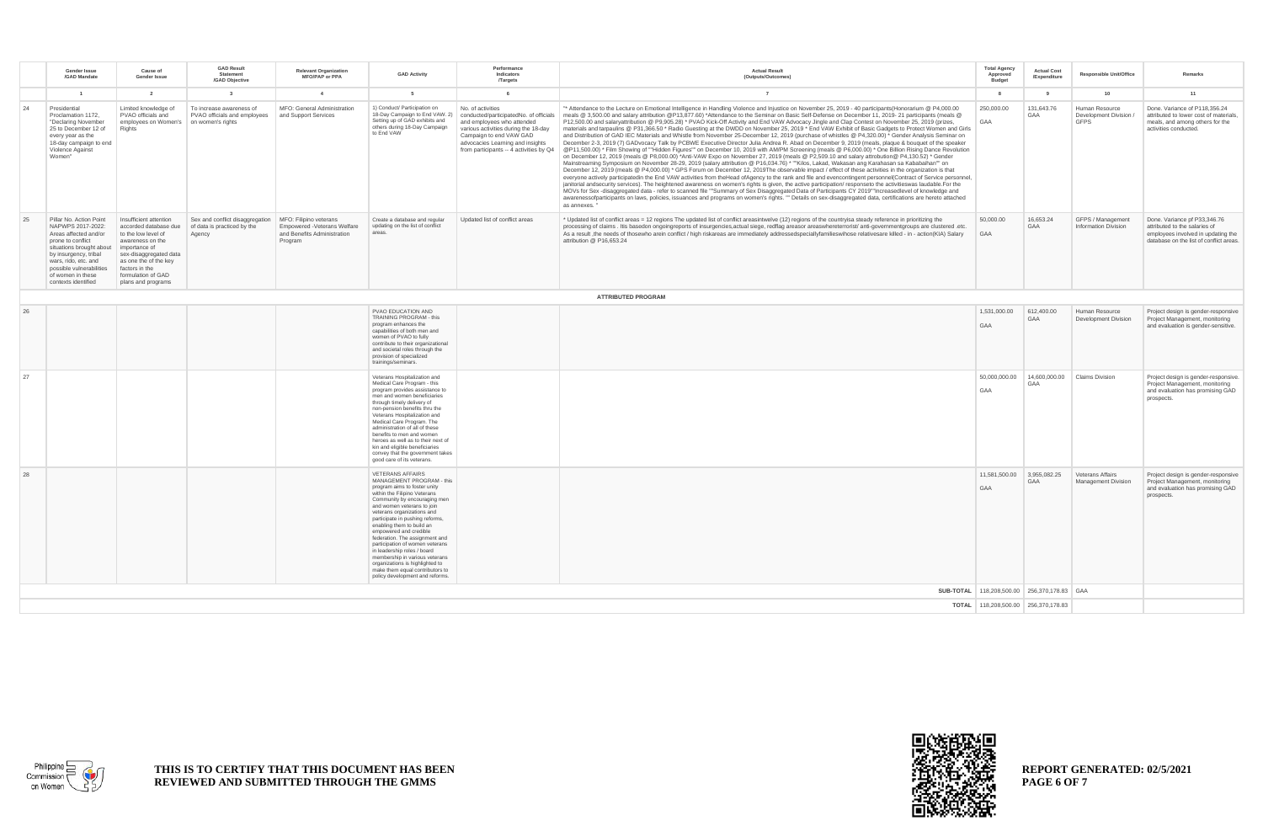|    |                           | <b>Gender Issue</b><br>/GAD Mandate                                                                                                                                                                                                             | Cause of<br>Gender Issue                                                                                                                                                                                                     | <b>GAD Result</b><br>Statement<br>/GAD Objective                                                  | <b>Relevant Organization</b><br><b>MFO/PAP</b> or PPA                 | <b>GAD Activity</b>                                                                                                                                                                                                                                                                                                                                                                                                                                                                                                                                       | Performance<br>Indicators<br>Targets                                                                                                                                                                                                        | <b>Actual Result</b><br>(Outputs/Outcomes)                                                                                                                                                                                                                                                                                                                                                                                                                                                                                                                                                                                                                                                                                                                                                                                                                                                                                                                                                                                                                                                                                                                                                                                                                                                                                                                                                                                                                                                                                                                                                                                                                                                                                                                                                                                                                                                                                                                                                                                                                                                                                                                                                                                                | <b>Total Agency</b><br>Approved<br>Budget | <b>Actual Cost</b><br>/Expenditure          | <b>Responsible Unit/Office</b>                        | Remarks                                                                                                                                       |
|----|---------------------------|-------------------------------------------------------------------------------------------------------------------------------------------------------------------------------------------------------------------------------------------------|------------------------------------------------------------------------------------------------------------------------------------------------------------------------------------------------------------------------------|---------------------------------------------------------------------------------------------------|-----------------------------------------------------------------------|-----------------------------------------------------------------------------------------------------------------------------------------------------------------------------------------------------------------------------------------------------------------------------------------------------------------------------------------------------------------------------------------------------------------------------------------------------------------------------------------------------------------------------------------------------------|---------------------------------------------------------------------------------------------------------------------------------------------------------------------------------------------------------------------------------------------|-------------------------------------------------------------------------------------------------------------------------------------------------------------------------------------------------------------------------------------------------------------------------------------------------------------------------------------------------------------------------------------------------------------------------------------------------------------------------------------------------------------------------------------------------------------------------------------------------------------------------------------------------------------------------------------------------------------------------------------------------------------------------------------------------------------------------------------------------------------------------------------------------------------------------------------------------------------------------------------------------------------------------------------------------------------------------------------------------------------------------------------------------------------------------------------------------------------------------------------------------------------------------------------------------------------------------------------------------------------------------------------------------------------------------------------------------------------------------------------------------------------------------------------------------------------------------------------------------------------------------------------------------------------------------------------------------------------------------------------------------------------------------------------------------------------------------------------------------------------------------------------------------------------------------------------------------------------------------------------------------------------------------------------------------------------------------------------------------------------------------------------------------------------------------------------------------------------------------------------------|-------------------------------------------|---------------------------------------------|-------------------------------------------------------|-----------------------------------------------------------------------------------------------------------------------------------------------|
|    |                           | $\overline{1}$                                                                                                                                                                                                                                  | $\overline{2}$                                                                                                                                                                                                               | $\overline{\mathbf{3}}$                                                                           | $\overline{4}$                                                        | 5                                                                                                                                                                                                                                                                                                                                                                                                                                                                                                                                                         | 6                                                                                                                                                                                                                                           | $\overline{7}$                                                                                                                                                                                                                                                                                                                                                                                                                                                                                                                                                                                                                                                                                                                                                                                                                                                                                                                                                                                                                                                                                                                                                                                                                                                                                                                                                                                                                                                                                                                                                                                                                                                                                                                                                                                                                                                                                                                                                                                                                                                                                                                                                                                                                            | $\mathbf{a}$                              | 9                                           | 10                                                    | 11                                                                                                                                            |
| 24 |                           | Presidential<br>Proclamation 1172.<br>"Declaring November<br>25 to December 12 of<br>every year as the<br>18-day campaign to end<br>Violence Against<br>Women"                                                                                  | Limited knowledge of<br>PVAO officials and<br>employees on Women's<br>Rights                                                                                                                                                 | To increase awareness of<br>PVAO officials and employees<br>on women's rights                     | MFO: General Administration<br>and Support Services                   | 1) Conduct/ Participation on<br>18-Day Campaign to End VAW. 2)<br>Setting up of GAD exhibits and<br>others during 18-Day Campaign<br>to End VAW                                                                                                                                                                                                                                                                                                                                                                                                           | No. of activities<br>conducted/participatedNo. of officials<br>and employees who attended<br>various activities during the 18-day<br>Campaign to end VAW GAD<br>advocacies Learning and insights<br>from participants -- 4 activities by Q4 | ** Attendance to the Lecture on Emotional Intelligence in Handling Violence and Injustice on November 25, 2019 - 40 participants(Honorarium @ P4,000.00<br>meals @ 3,500.00 and salary attribution @P13,877.60) *Attendance to the Seminar on Basic Self-Defense on December 11, 2019- 21 participants (meals @<br>P12.500.00 and salaryattribution @ P9.905.28) * PVAO Kick-Off Activity and End VAW Advocacy Jingle and Clap Contest on November 25, 2019 (prizes,<br>materials and tarpaulins @ P31,366.50 * Radio Guesting at the DWDD on November 25, 2019 * End VAW Exhibit of Basic Gadgets to Protect Women and Girls<br>and Distribution of GAD IEC Materials and Whistle from November 25-December 12, 2019 (purchase of whistles @ P4,320.00) * Gender Analysis Seminar on<br>December 2-3, 2019 (7) GADvocacy Talk by PCBWE Executive Director Julia Andrea R. Abad on December 9, 2019 (meals, plaque & bouquet of the speaker<br>@P11,500.00) * Film Showing of ""Hidden Figures"" on December 10, 2019 with AM/PM Screening (meals @ P6,000.00) * One Billion Rising Dance Revolution<br>on December 12, 2019 (meals @ P8,000.00) *Anti-VAW Expo on November 27, 2019 (meals @ P2,509.10 and salary attrobution@ P4,130.52) * Gender<br>Mainstreaming Symposium on November 28-29, 2019 (salary attribution @ P16,034.76) * "Kilos, Lakad, Wakasan ang Karahasan sa Kababaihan" on<br>December 12, 2019 (meals @ P4,000.00) * GPS Forum on December 12, 2019The observable impact / effect of these activities in the organization is that<br>everyone actively participatedin the End VAW activities from the Head of Agency to the rank and file and evencontingent personnel(Contract of Service personnel,<br>janitorial andsecurity services). The heightened awareness on women's rights is given, the active participation/ responseto the activitieswas laudable. For the<br>MOVs for Sex -disaggregated data - refer to scanned file ""Summary of Sex Disaggregated Data of Participants CY 2019""Increasedlevel of knowledge and<br>awarenessofparticipants on laws, policies, issuances and programs on women's rights. ** Details on sex-disaggregated data, certifications are hereto attached<br>as annexes. | 250,000.00<br>GAA                         | 131,643.76<br>GAA                           | Human Resource<br>Development Division<br><b>GFPS</b> | Done, Variance of P118,356,24<br>attributed to lower cost of materials.<br>meals, and among others for the<br>activities conducted.           |
| 25 |                           | Pillar No. Action Point<br>NAPWPS 2017-2022:<br>Areas affected and/or<br>prone to conflict<br>situations brought about<br>by insurgency, tribal<br>wars, rido, etc. and<br>possible vulnerabilities<br>of women in these<br>contexts identified | Insufficient attention<br>accorded database due<br>to the low level of<br>awareness on the<br>importance of<br>sex-disaggregated data<br>as one the of the key<br>factors in the<br>formulation of GAD<br>plans and programs | Sex and conflict disaggregation   MFO: Filipino veterans<br>of data is practiced by the<br>Agency | Empowered -Veterans Welfare<br>and Benefits Administration<br>Program | Create a database and regular<br>updating on the list of conflict<br>areas.                                                                                                                                                                                                                                                                                                                                                                                                                                                                               | Updated list of conflict areas                                                                                                                                                                                                              | * Updated list of conflict areas = 12 regions The updated list of conflict areasintwelve (12) regions of the countryisa steady reference in prioritizing the<br>processing of claims . Itis basedon ongoingreports of insurgencies, actual siege, redflag areasor areaswhereterrorist/ anti-governmentgroups are clustered .etc.<br>As a result , the needs of thosewho arein conflict / high riskareas are immediately addressedspeciallyfamilieswihose relativesare killed - in - action(KIA) Salary<br>attribution @ P16.653.24                                                                                                                                                                                                                                                                                                                                                                                                                                                                                                                                                                                                                                                                                                                                                                                                                                                                                                                                                                                                                                                                                                                                                                                                                                                                                                                                                                                                                                                                                                                                                                                                                                                                                                        | 50,000.00<br>GAA                          | 16,653.24<br>GAA                            | GFPS / Management<br>Information Division             | Done. Variance pf P33,346.76<br>attributed to the salaries of<br>employees involved in updating the<br>database on the list of conflict areas |
|    | <b>ATTRIBUTED PROGRAM</b> |                                                                                                                                                                                                                                                 |                                                                                                                                                                                                                              |                                                                                                   |                                                                       |                                                                                                                                                                                                                                                                                                                                                                                                                                                                                                                                                           |                                                                                                                                                                                                                                             |                                                                                                                                                                                                                                                                                                                                                                                                                                                                                                                                                                                                                                                                                                                                                                                                                                                                                                                                                                                                                                                                                                                                                                                                                                                                                                                                                                                                                                                                                                                                                                                                                                                                                                                                                                                                                                                                                                                                                                                                                                                                                                                                                                                                                                           |                                           |                                             |                                                       |                                                                                                                                               |
| 26 |                           |                                                                                                                                                                                                                                                 |                                                                                                                                                                                                                              |                                                                                                   |                                                                       | PVAO EDUCATION AND<br>TRAINING PROGRAM - this<br>program enhances the<br>capabilities of both men and<br>women of PVAO to fully<br>contribute to their organizational<br>and societal roles through the<br>provision of specialized<br>trainings/seminars.                                                                                                                                                                                                                                                                                                |                                                                                                                                                                                                                                             |                                                                                                                                                                                                                                                                                                                                                                                                                                                                                                                                                                                                                                                                                                                                                                                                                                                                                                                                                                                                                                                                                                                                                                                                                                                                                                                                                                                                                                                                                                                                                                                                                                                                                                                                                                                                                                                                                                                                                                                                                                                                                                                                                                                                                                           | 1,531,000.00<br>GAA                       | 612,400.00<br>GAA                           | Human Resource<br>Development Division                | Project design is gender-responsive<br>Project Management, monitoring<br>and evaluation is gender-sensitive.                                  |
| 27 |                           |                                                                                                                                                                                                                                                 |                                                                                                                                                                                                                              |                                                                                                   |                                                                       | Veterans Hospitalization and<br>Medical Care Program - this<br>program provides assistance to<br>men and women beneficiaries.<br>through timely delivery of<br>non-pension benefits thru the<br>Veterans Hospitalization and<br>Medical Care Program. The<br>administration of all of these<br>benefits to men and women<br>heroes as well as to their next of<br>kin and eligible beneficiaries<br>convey that the government takes<br>good care of its veterans.                                                                                        |                                                                                                                                                                                                                                             |                                                                                                                                                                                                                                                                                                                                                                                                                                                                                                                                                                                                                                                                                                                                                                                                                                                                                                                                                                                                                                                                                                                                                                                                                                                                                                                                                                                                                                                                                                                                                                                                                                                                                                                                                                                                                                                                                                                                                                                                                                                                                                                                                                                                                                           | 50,000,000.00<br>GAA                      | 14,600,000.00 Claims Division<br>GAA        |                                                       | Project design is gender-responsive.<br>Project Management, monitoring<br>and evaluation has promising GAD<br>prospects.                      |
| 28 |                           |                                                                                                                                                                                                                                                 |                                                                                                                                                                                                                              |                                                                                                   |                                                                       | <b>VETERANS AFFAIRS</b><br>MANAGEMENT PROGRAM - this<br>program aims to foster unity<br>within the Filipino Veterans<br>Community by encouraging men<br>and women veterans to join<br>veterans organizations and<br>participate in pushing reforms.<br>enabling them to build an<br>empowered and credible<br>federation. The assignment and<br>participation of women veterans<br>in leadership roles / board<br>membership in various veterans<br>organizations is highlighted to<br>make them equal contributors to<br>policy development and reforms. |                                                                                                                                                                                                                                             |                                                                                                                                                                                                                                                                                                                                                                                                                                                                                                                                                                                                                                                                                                                                                                                                                                                                                                                                                                                                                                                                                                                                                                                                                                                                                                                                                                                                                                                                                                                                                                                                                                                                                                                                                                                                                                                                                                                                                                                                                                                                                                                                                                                                                                           | 11,581,500.00<br>GAA                      | 3,955,082.25<br>GAA                         | Veterans Affairs<br>Management Division               | Project design is gender-responsive<br>Project Management, monitoring<br>and evaluation has promising GAD<br>prospects.                       |
|    |                           |                                                                                                                                                                                                                                                 |                                                                                                                                                                                                                              |                                                                                                   |                                                                       |                                                                                                                                                                                                                                                                                                                                                                                                                                                                                                                                                           |                                                                                                                                                                                                                                             |                                                                                                                                                                                                                                                                                                                                                                                                                                                                                                                                                                                                                                                                                                                                                                                                                                                                                                                                                                                                                                                                                                                                                                                                                                                                                                                                                                                                                                                                                                                                                                                                                                                                                                                                                                                                                                                                                                                                                                                                                                                                                                                                                                                                                                           |                                           | SUB-TOTAL 118,208,500.00 256,370,178.83 GAA |                                                       |                                                                                                                                               |
|    |                           |                                                                                                                                                                                                                                                 |                                                                                                                                                                                                                              |                                                                                                   |                                                                       |                                                                                                                                                                                                                                                                                                                                                                                                                                                                                                                                                           |                                                                                                                                                                                                                                             |                                                                                                                                                                                                                                                                                                                                                                                                                                                                                                                                                                                                                                                                                                                                                                                                                                                                                                                                                                                                                                                                                                                                                                                                                                                                                                                                                                                                                                                                                                                                                                                                                                                                                                                                                                                                                                                                                                                                                                                                                                                                                                                                                                                                                                           | TOTAL 118,208,500.00 256,370,178.83       |                                             |                                                       |                                                                                                                                               |
|    |                           |                                                                                                                                                                                                                                                 |                                                                                                                                                                                                                              |                                                                                                   |                                                                       |                                                                                                                                                                                                                                                                                                                                                                                                                                                                                                                                                           |                                                                                                                                                                                                                                             |                                                                                                                                                                                                                                                                                                                                                                                                                                                                                                                                                                                                                                                                                                                                                                                                                                                                                                                                                                                                                                                                                                                                                                                                                                                                                                                                                                                                                                                                                                                                                                                                                                                                                                                                                                                                                                                                                                                                                                                                                                                                                                                                                                                                                                           |                                           |                                             |                                                       |                                                                                                                                               |